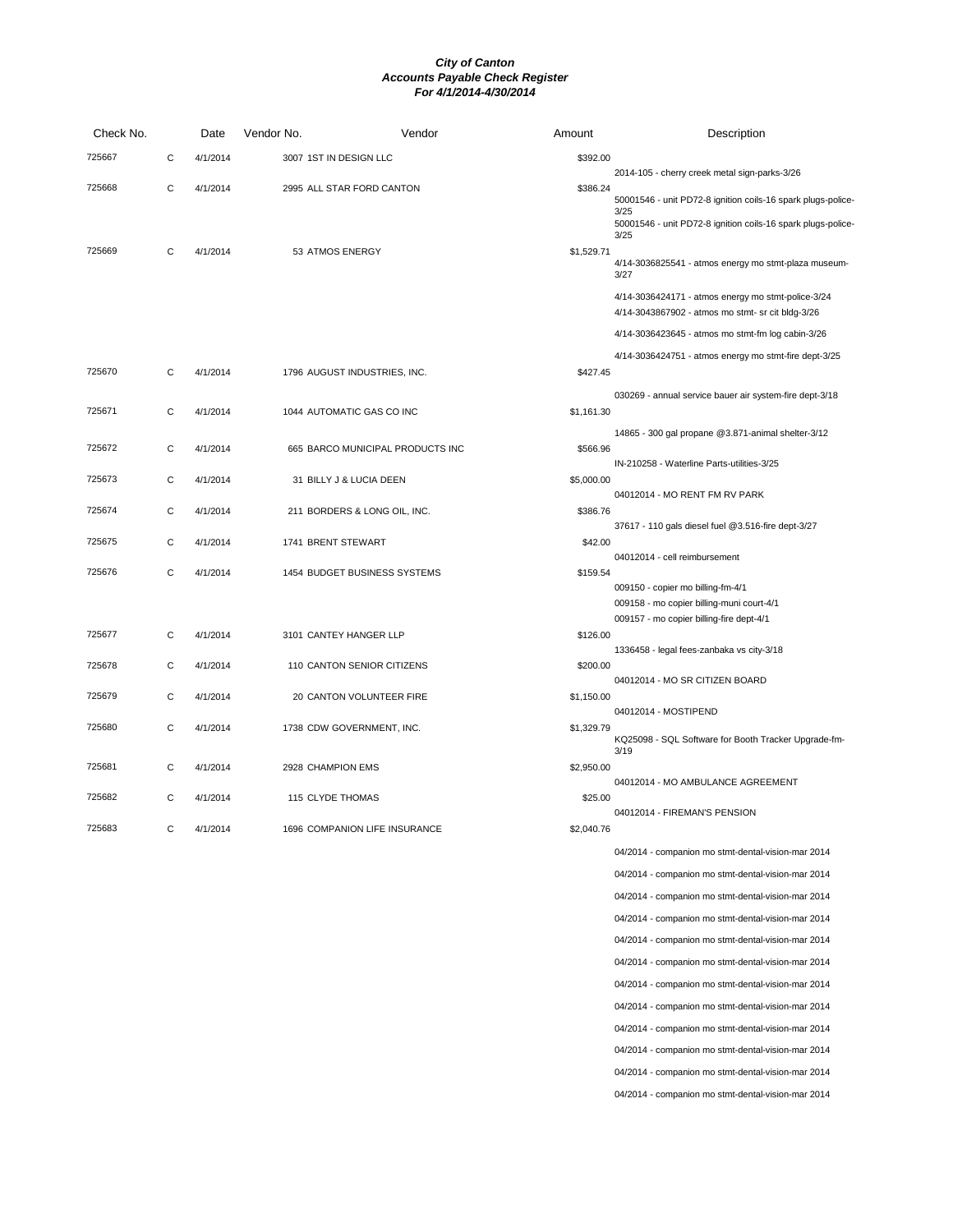| Check No. |   | Date     | Vendor No.             | Vendor                           | Amount     | Description                                                                                                           |
|-----------|---|----------|------------------------|----------------------------------|------------|-----------------------------------------------------------------------------------------------------------------------|
| 725667    | С | 4/1/2014 | 3007 1ST IN DESIGN LLC |                                  | \$392.00   |                                                                                                                       |
| 725668    | С | 4/1/2014 |                        | 2995 ALL STAR FORD CANTON        | \$386.24   | 2014-105 - cherry creek metal sign-parks-3/26<br>50001546 - unit PD72-8 ignition coils-16 spark plugs-police-<br>3/25 |
|           |   |          |                        |                                  |            | 50001546 - unit PD72-8 ignition coils-16 spark plugs-police-<br>3/25                                                  |
| 725669    | С | 4/1/2014 | 53 ATMOS ENERGY        |                                  | \$1,529.71 | 4/14-3036825541 - atmos energy mo stmt-plaza museum-<br>3/27                                                          |
|           |   |          |                        |                                  |            | 4/14-3036424171 - atmos energy mo stmt-police-3/24<br>4/14-3043867902 - atmos mo stmt- sr cit bldg-3/26               |
|           |   |          |                        |                                  |            | 4/14-3036423645 - atmos mo stmt-fm log cabin-3/26                                                                     |
| 725670    | С | 4/1/2014 |                        | 1796 AUGUST INDUSTRIES, INC.     | \$427.45   | 4/14-3036424751 - atmos energy mo stmt-fire dept-3/25                                                                 |
| 725671    | C | 4/1/2014 |                        | 1044 AUTOMATIC GAS CO INC        | \$1,161.30 | 030269 - annual service bauer air system-fire dept-3/18                                                               |
|           |   |          |                        |                                  |            | 14865 - 300 gal propane @3.871-animal shelter-3/12                                                                    |
| 725672    | C | 4/1/2014 |                        | 665 BARCO MUNICIPAL PRODUCTS INC | \$566.96   |                                                                                                                       |
| 725673    | С | 4/1/2014 |                        | 31 BILLY J & LUCIA DEEN          | \$5,000.00 | IN-210258 - Waterline Parts-utilities-3/25                                                                            |
|           |   |          |                        |                                  |            | 04012014 - MO RENT FM RV PARK                                                                                         |
| 725674    | С | 4/1/2014 |                        | 211 BORDERS & LONG OIL, INC.     | \$386.76   | 37617 - 110 gals diesel fuel @3.516-fire dept-3/27                                                                    |
| 725675    | C | 4/1/2014 | 1741 BRENT STEWART     |                                  | \$42.00    |                                                                                                                       |
| 725676    | С | 4/1/2014 |                        | 1454 BUDGET BUSINESS SYSTEMS     | \$159.54   | 04012014 - cell reimbursement                                                                                         |
|           |   |          |                        |                                  |            | 009150 - copier mo billing-fm-4/1                                                                                     |
|           |   |          |                        |                                  |            | 009158 - mo copier billing-muni court-4/1<br>009157 - mo copier billing-fire dept-4/1                                 |
| 725677    | С | 4/1/2014 |                        | 3101 CANTEY HANGER LLP           | \$126.00   |                                                                                                                       |
| 725678    | С | 4/1/2014 |                        | 110 CANTON SENIOR CITIZENS       | \$200.00   | 1336458 - legal fees-zanbaka vs city-3/18                                                                             |
|           |   |          |                        |                                  |            | 04012014 - MO SR CITIZEN BOARD                                                                                        |
| 725679    | С | 4/1/2014 |                        | 20 CANTON VOLUNTEER FIRE         | \$1,150.00 | 04012014 - MOSTIPEND                                                                                                  |
| 725680    | C | 4/1/2014 |                        | 1738 CDW GOVERNMENT, INC.        | \$1,329.79 | KQ25098 - SQL Software for Booth Tracker Upgrade-fm-<br>3/19                                                          |
| 725681    | С | 4/1/2014 | 2928 CHAMPION EMS      |                                  | \$2,950.00 |                                                                                                                       |
| 725682    | C | 4/1/2014 | 115 CLYDE THOMAS       |                                  | \$25.00    | 04012014 - MO AMBULANCE AGREEMENT                                                                                     |
|           |   |          |                        |                                  |            | 04012014 - FIREMAN'S PENSION                                                                                          |
| 725683    | С | 4/1/2014 |                        | 1696 COMPANION LIFE INSURANCE    | \$2,040.76 |                                                                                                                       |
|           |   |          |                        |                                  |            | 04/2014 - companion mo stmt-dental-vision-mar 2014                                                                    |
|           |   |          |                        |                                  |            | 04/2014 - companion mo stmt-dental-vision-mar 2014                                                                    |
|           |   |          |                        |                                  |            | 04/2014 - companion mo stmt-dental-vision-mar 2014                                                                    |
|           |   |          |                        |                                  |            | 04/2014 - companion mo stmt-dental-vision-mar 2014                                                                    |
|           |   |          |                        |                                  |            | 04/2014 - companion mo stmt-dental-vision-mar 2014                                                                    |
|           |   |          |                        |                                  |            | 04/2014 - companion mo stmt-dental-vision-mar 2014                                                                    |
|           |   |          |                        |                                  |            | 04/2014 - companion mo stmt-dental-vision-mar 2014                                                                    |
|           |   |          |                        |                                  |            | 04/2014 - companion mo stmt-dental-vision-mar 2014                                                                    |
|           |   |          |                        |                                  |            | 04/2014 - companion mo stmt-dental-vision-mar 2014                                                                    |
|           |   |          |                        |                                  |            | 04/2014 - companion mo stmt-dental-vision-mar 2014                                                                    |
|           |   |          |                        |                                  |            | 04/2014 - companion mo stmt-dental-vision-mar 2014                                                                    |

04/2014 - companion mo stmt-dental-vision-mar 2014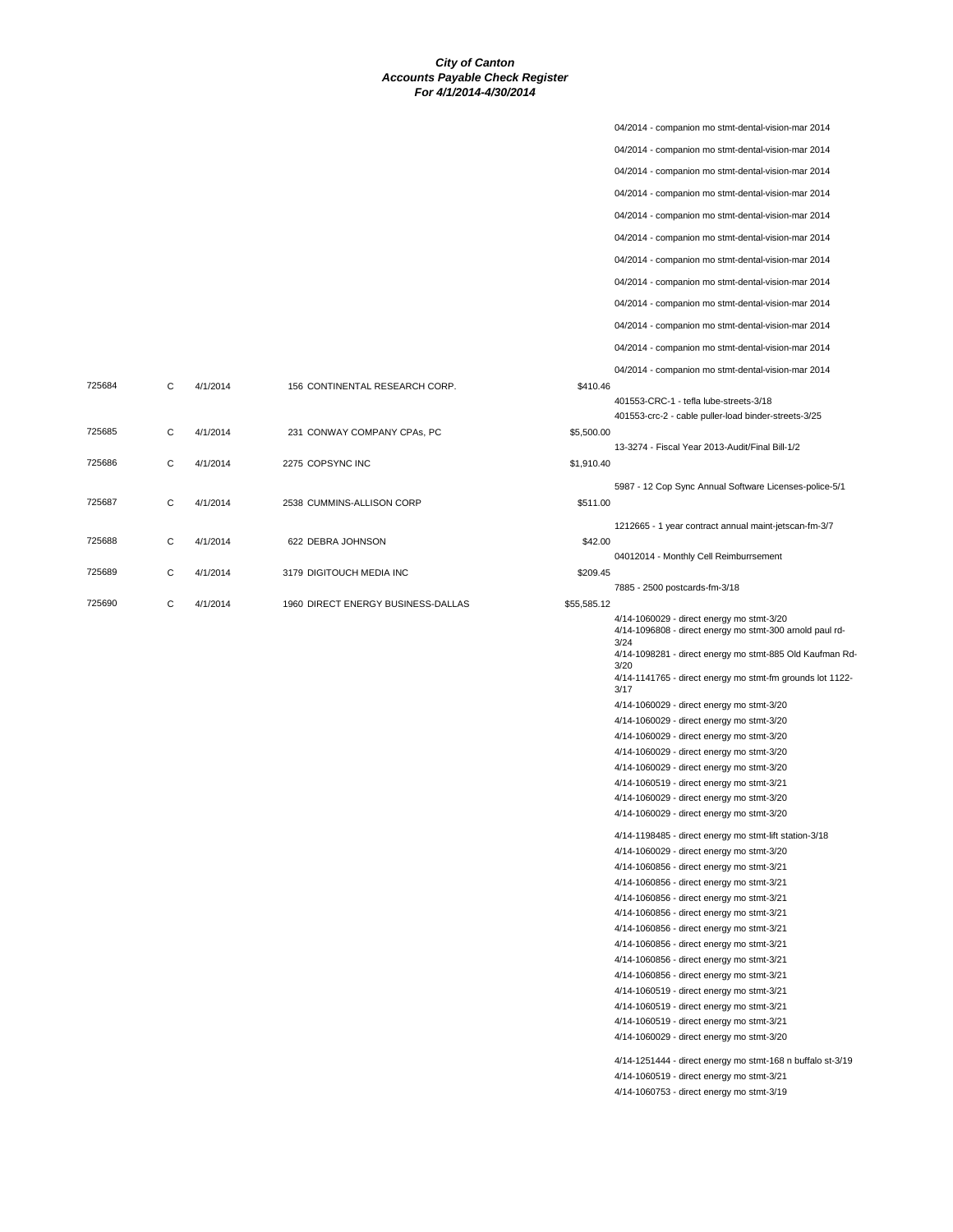04/2014 - companion mo stmt-dental-vision-mar 2014

|        |   |          |                                    |             | 04/2014 - companion mo stmt-dental-vision-mar 2014                                                    |
|--------|---|----------|------------------------------------|-------------|-------------------------------------------------------------------------------------------------------|
|        |   |          |                                    |             | 04/2014 - companion mo stmt-dental-vision-mar 2014                                                    |
|        |   |          |                                    |             | 04/2014 - companion mo stmt-dental-vision-mar 2014                                                    |
|        |   |          |                                    |             | 04/2014 - companion mo stmt-dental-vision-mar 2014                                                    |
|        |   |          |                                    |             |                                                                                                       |
|        |   |          |                                    |             | 04/2014 - companion mo stmt-dental-vision-mar 2014                                                    |
|        |   |          |                                    |             | 04/2014 - companion mo stmt-dental-vision-mar 2014                                                    |
|        |   |          |                                    |             | 04/2014 - companion mo stmt-dental-vision-mar 2014                                                    |
|        |   |          |                                    |             | 04/2014 - companion mo stmt-dental-vision-mar 2014                                                    |
|        |   |          |                                    |             | 04/2014 - companion mo stmt-dental-vision-mar 2014                                                    |
|        |   |          |                                    |             | 04/2014 - companion mo stmt-dental-vision-mar 2014                                                    |
|        |   |          |                                    |             | 04/2014 - companion mo stmt-dental-vision-mar 2014                                                    |
| 725684 | С | 4/1/2014 | 156 CONTINENTAL RESEARCH CORP.     | \$410.46    |                                                                                                       |
|        |   |          |                                    |             | 401553-CRC-1 - tefla lube-streets-3/18                                                                |
|        |   |          |                                    |             | 401553-crc-2 - cable puller-load binder-streets-3/25                                                  |
| 725685 | С | 4/1/2014 | 231 CONWAY COMPANY CPAs, PC        | \$5,500.00  |                                                                                                       |
| 725686 | C | 4/1/2014 | 2275 COPSYNC INC                   | \$1,910.40  | 13-3274 - Fiscal Year 2013-Audit/Final Bill-1/2                                                       |
|        |   |          |                                    |             |                                                                                                       |
| 725687 | С | 4/1/2014 | 2538 CUMMINS-ALLISON CORP          | \$511.00    | 5987 - 12 Cop Sync Annual Software Licenses-police-5/1                                                |
|        |   |          |                                    |             |                                                                                                       |
|        |   |          |                                    |             | 1212665 - 1 year contract annual maint-jetscan-fm-3/7                                                 |
| 725688 | C | 4/1/2014 | 622 DEBRA JOHNSON                  | \$42.00     | 04012014 - Monthly Cell Reimburrsement                                                                |
| 725689 | С | 4/1/2014 | 3179 DIGITOUCH MEDIA INC           | \$209.45    |                                                                                                       |
|        |   |          |                                    |             | 7885 - 2500 postcards-fm-3/18                                                                         |
| 725690 | С | 4/1/2014 | 1960 DIRECT ENERGY BUSINESS-DALLAS | \$55,585.12 |                                                                                                       |
|        |   |          |                                    |             | 4/14-1060029 - direct energy mo stmt-3/20<br>4/14-1096808 - direct energy mo stmt-300 arnold paul rd- |
|        |   |          |                                    |             | 3/24                                                                                                  |
|        |   |          |                                    |             | 4/14-1098281 - direct energy mo stmt-885 Old Kaufman Rd-<br>3/20                                      |
|        |   |          |                                    |             | 4/14-1141765 - direct energy mo stmt-fm grounds lot 1122-                                             |
|        |   |          |                                    |             | 3/17<br>4/14-1060029 - direct energy mo stmt-3/20                                                     |
|        |   |          |                                    |             | 4/14-1060029 - direct energy mo stmt-3/20                                                             |
|        |   |          |                                    |             | 4/14-1060029 - direct energy mo stmt-3/20                                                             |
|        |   |          |                                    |             | 4/14-1060029 - direct energy mo stmt-3/20                                                             |
|        |   |          |                                    |             | 4/14-1060029 - direct energy mo stmt-3/20                                                             |
|        |   |          |                                    |             | 4/14-1060519 - direct energy mo stmt-3/21                                                             |
|        |   |          |                                    |             | 4/14-1060029 - direct energy mo stmt-3/20                                                             |
|        |   |          |                                    |             | 4/14-1060029 - direct energy mo stmt-3/20                                                             |
|        |   |          |                                    |             | 4/14-1198485 - direct energy mo stmt-lift station-3/18                                                |
|        |   |          |                                    |             | 4/14-1060029 - direct energy mo stmt-3/20                                                             |
|        |   |          |                                    |             | 4/14-1060856 - direct energy mo stmt-3/21                                                             |
|        |   |          |                                    |             | 4/14-1060856 - direct energy mo stmt-3/21<br>4/14-1060856 - direct energy mo stmt-3/21                |
|        |   |          |                                    |             | 4/14-1060856 - direct energy mo stmt-3/21                                                             |
|        |   |          |                                    |             | 4/14-1060856 - direct energy mo stmt-3/21                                                             |
|        |   |          |                                    |             | 4/14-1060856 - direct energy mo stmt-3/21                                                             |
|        |   |          |                                    |             | 4/14-1060856 - direct energy mo stmt-3/21                                                             |
|        |   |          |                                    |             | 4/14-1060856 - direct energy mo stmt-3/21                                                             |
|        |   |          |                                    |             | 4/14-1060519 - direct energy mo stmt-3/21                                                             |
|        |   |          |                                    |             | 4/14-1060519 - direct energy mo stmt-3/21                                                             |
|        |   |          |                                    |             | 4/14-1060519 - direct energy mo stmt-3/21                                                             |
|        |   |          |                                    |             | 4/14-1060029 - direct energy mo stmt-3/20                                                             |
|        |   |          |                                    |             | 4/14-1251444 - direct energy mo stmt-168 n buffalo st-3/19                                            |
|        |   |          |                                    |             | 4/14-1060519 - direct energy mo stmt-3/21                                                             |
|        |   |          |                                    |             | 4/14-1060753 - direct energy mo stmt-3/19                                                             |
|        |   |          |                                    |             |                                                                                                       |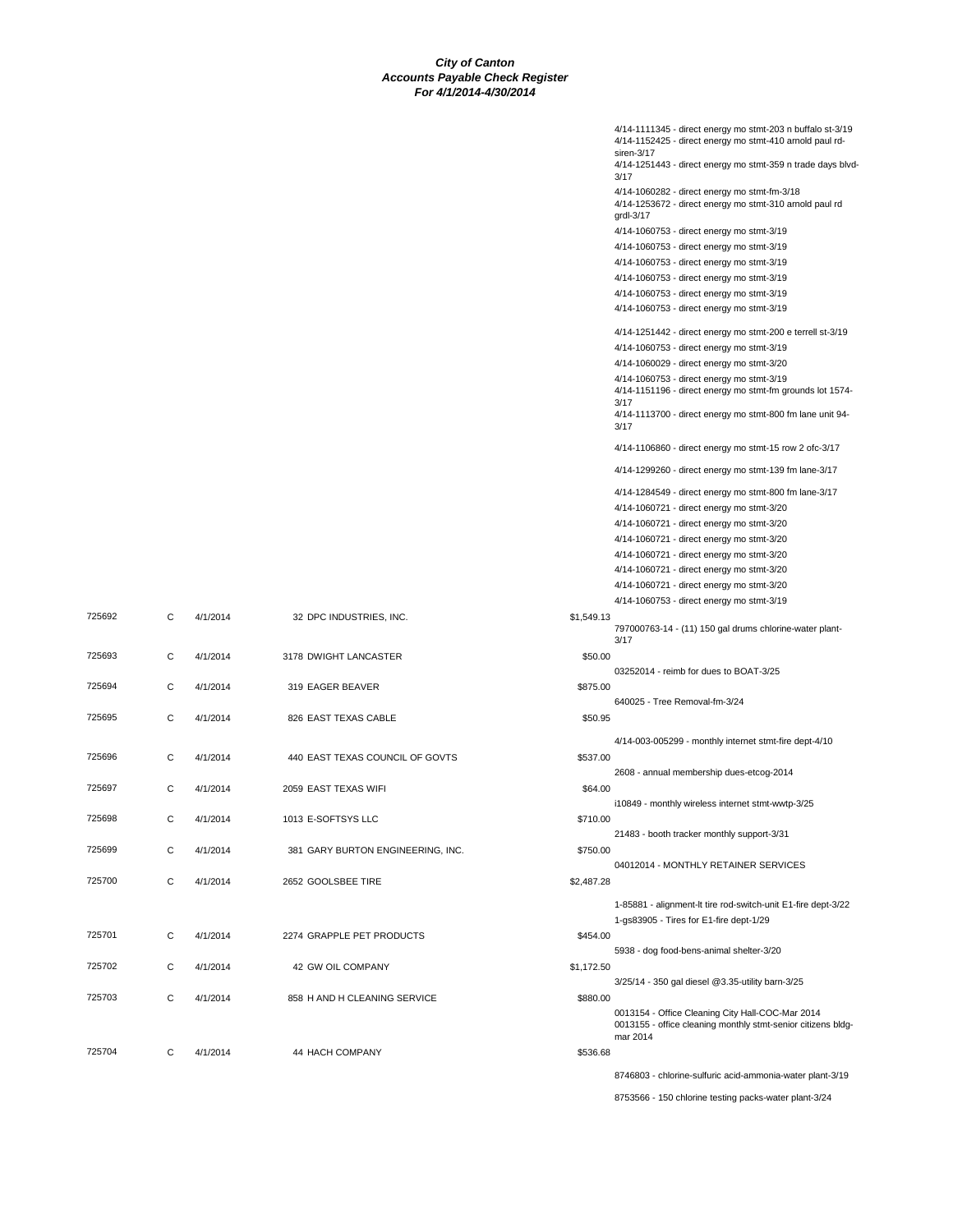|            | 4/14-1111345 - direct energy mo stmt-203 n buffalo st-3/19<br>4/14-1152425 - direct energy mo stmt-410 arnold paul rd-       |
|------------|------------------------------------------------------------------------------------------------------------------------------|
|            | siren-3/17<br>4/14-1251443 - direct energy mo stmt-359 n trade days blvd-                                                    |
|            | 3/17                                                                                                                         |
|            | 4/14-1060282 - direct energy mo stmt-fm-3/18<br>4/14-1253672 - direct energy mo stmt-310 arnold paul rd                      |
|            | grdl-3/17                                                                                                                    |
|            | 4/14-1060753 - direct energy mo stmt-3/19                                                                                    |
|            | 4/14-1060753 - direct energy mo stmt-3/19<br>4/14-1060753 - direct energy mo stmt-3/19                                       |
|            | 4/14-1060753 - direct energy mo stmt-3/19                                                                                    |
|            | 4/14-1060753 - direct energy mo stmt-3/19                                                                                    |
|            | 4/14-1060753 - direct energy mo stmt-3/19                                                                                    |
|            | 4/14-1251442 - direct energy mo stmt-200 e terrell st-3/19                                                                   |
|            | 4/14-1060753 - direct energy mo stmt-3/19                                                                                    |
|            | 4/14-1060029 - direct energy mo stmt-3/20<br>4/14-1060753 - direct energy mo stmt-3/19                                       |
|            | 4/14-1151196 - direct energy mo stmt-fm grounds lot 1574-<br>3/17                                                            |
|            | 4/14-1113700 - direct energy mo stmt-800 fm lane unit 94-<br>3/17                                                            |
|            | 4/14-1106860 - direct energy mo stmt-15 row 2 ofc-3/17                                                                       |
|            | 4/14-1299260 - direct energy mo stmt-139 fm lane-3/17                                                                        |
|            | 4/14-1284549 - direct energy mo stmt-800 fm lane-3/17                                                                        |
|            | 4/14-1060721 - direct energy mo stmt-3/20                                                                                    |
|            | 4/14-1060721 - direct energy mo stmt-3/20<br>4/14-1060721 - direct energy mo stmt-3/20                                       |
|            | 4/14-1060721 - direct energy mo stmt-3/20                                                                                    |
|            | 4/14-1060721 - direct energy mo stmt-3/20                                                                                    |
|            | 4/14-1060721 - direct energy mo stmt-3/20                                                                                    |
| \$1,549.13 | 4/14-1060753 - direct energy mo stmt-3/19                                                                                    |
|            | 797000763-14 - (11) 150 gal drums chlorine-water plant-                                                                      |
| \$50.00    | 3/17                                                                                                                         |
|            | 03252014 - reimb for dues to BOAT-3/25                                                                                       |
| \$875.00   |                                                                                                                              |
| \$50.95    | 640025 - Tree Removal-fm-3/24                                                                                                |
|            |                                                                                                                              |
| \$537.00   | 4/14-003-005299 - monthly internet stmt-fire dept-4/10                                                                       |
|            | 2608 - annual membership dues-etcog-2014                                                                                     |
| \$64.00    |                                                                                                                              |
|            | i10849 - monthly wireless internet stmt-wwtp-3/25                                                                            |
| \$710.00   | 21483 - booth tracker monthly support-3/31                                                                                   |
| \$750.00   |                                                                                                                              |
|            | 04012014 - MONTHLY RETAINER SERVICES                                                                                         |
| \$2,487.28 |                                                                                                                              |
|            | 1-85881 - alignment-It tire rod-switch-unit E1-fire dept-3/22<br>1-gs83905 - Tires for E1-fire dept-1/29                     |
| \$454.00   |                                                                                                                              |
|            | 5938 - dog food-bens-animal shelter-3/20                                                                                     |
| \$1,172.50 | 3/25/14 - 350 gal diesel @3.35-utility barn-3/25                                                                             |
| \$880.00   |                                                                                                                              |
|            | 0013154 - Office Cleaning City Hall-COC-Mar 2014<br>0013155 - office cleaning monthly stmt-senior citizens bldg-<br>mar 2014 |
| \$536.68   |                                                                                                                              |
|            |                                                                                                                              |
|            | 8746803 - chlorine-sulfuric acid-ammonia-water plant-3/19                                                                    |

| 725692 | C            | 4/1/2014 | 32 DPC INDUSTRIES, INC.           | \$1,549.13 |
|--------|--------------|----------|-----------------------------------|------------|
| 725693 | C            | 4/1/2014 | 3178 DWIGHT LANCASTER             | \$50.00    |
| 725694 | C            | 4/1/2014 | 319 EAGER BEAVER                  | \$875.00   |
| 725695 | C            | 4/1/2014 | 826 EAST TEXAS CABLE              | \$50.95    |
| 725696 | C            | 4/1/2014 | 440 EAST TEXAS COUNCIL OF GOVTS   | \$537.00   |
| 725697 | C            | 4/1/2014 | 2059 EAST TEXAS WIFI              | \$64.00    |
| 725698 | C            | 4/1/2014 | 1013 E-SOFTSYS LLC                | \$710.00   |
| 725699 | C            | 4/1/2014 | 381 GARY BURTON ENGINEERING, INC. | \$750.00   |
| 725700 | $\mathsf{C}$ | 4/1/2014 | 2652 GOOLSBEE TIRE                | \$2,487.28 |
|        |              |          |                                   |            |
| 725701 | C            | 4/1/2014 | 2274 GRAPPLE PET PRODUCTS         | \$454.00   |
| 725702 | C            | 4/1/2014 | 42 GW OIL COMPANY                 | \$1,172.50 |
| 725703 | $\mathsf{C}$ | 4/1/2014 | 858 H AND H CLEANING SERVICE      | \$880.00   |
|        |              |          |                                   |            |
| 725704 | C            | 4/1/2014 | 44 HACH COMPANY                   | \$536.68   |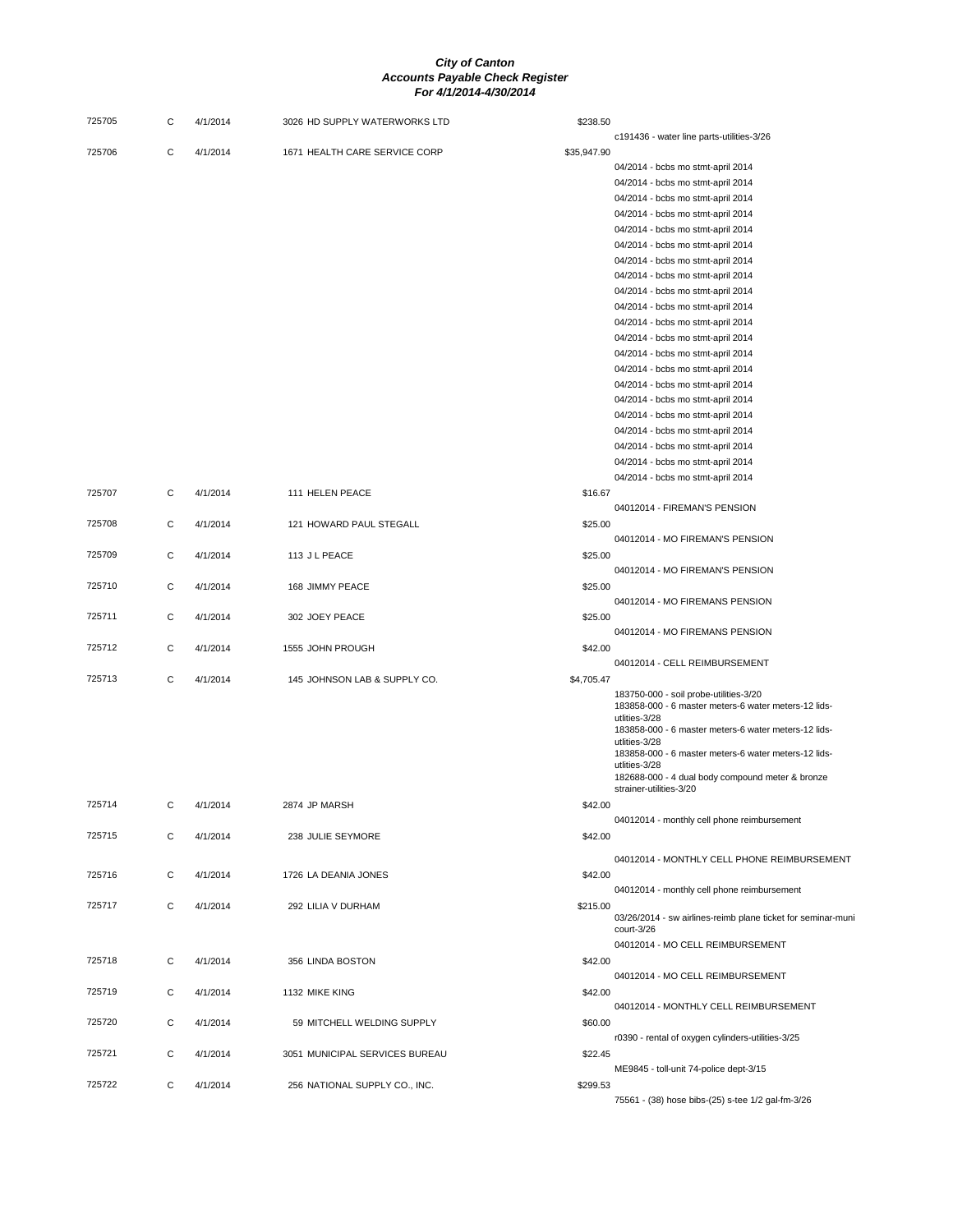| 725705 | С | 4/1/2014 | 3026 HD SUPPLY WATERWORKS LTD  | \$238.50    |                                                                        |
|--------|---|----------|--------------------------------|-------------|------------------------------------------------------------------------|
|        |   |          |                                |             | c191436 - water line parts-utilities-3/26                              |
| 725706 | C | 4/1/2014 | 1671 HEALTH CARE SERVICE CORP  | \$35,947.90 |                                                                        |
|        |   |          |                                |             | 04/2014 - bcbs mo stmt-april 2014                                      |
|        |   |          |                                |             | 04/2014 - bcbs mo stmt-april 2014<br>04/2014 - bcbs mo stmt-april 2014 |
|        |   |          |                                |             | 04/2014 - bcbs mo stmt-april 2014                                      |
|        |   |          |                                |             | 04/2014 - bcbs mo stmt-april 2014                                      |
|        |   |          |                                |             | 04/2014 - bcbs mo stmt-april 2014                                      |
|        |   |          |                                |             | 04/2014 - bcbs mo stmt-april 2014                                      |
|        |   |          |                                |             | 04/2014 - bcbs mo stmt-april 2014                                      |
|        |   |          |                                |             | 04/2014 - bcbs mo stmt-april 2014                                      |
|        |   |          |                                |             | 04/2014 - bcbs mo stmt-april 2014                                      |
|        |   |          |                                |             | 04/2014 - bcbs mo stmt-april 2014                                      |
|        |   |          |                                |             | 04/2014 - bcbs mo stmt-april 2014                                      |
|        |   |          |                                |             |                                                                        |
|        |   |          |                                |             | 04/2014 - bcbs mo stmt-april 2014<br>04/2014 - bcbs mo stmt-april 2014 |
|        |   |          |                                |             |                                                                        |
|        |   |          |                                |             | 04/2014 - bcbs mo stmt-april 2014<br>04/2014 - bcbs mo stmt-april 2014 |
|        |   |          |                                |             |                                                                        |
|        |   |          |                                |             | 04/2014 - bcbs mo stmt-april 2014                                      |
|        |   |          |                                |             | 04/2014 - bcbs mo stmt-april 2014                                      |
|        |   |          |                                |             | 04/2014 - bcbs mo stmt-april 2014                                      |
|        |   |          |                                |             | 04/2014 - bcbs mo stmt-april 2014                                      |
|        |   |          |                                |             | 04/2014 - bcbs mo stmt-april 2014                                      |
| 725707 | С | 4/1/2014 | 111 HELEN PEACE                | \$16.67     |                                                                        |
|        |   |          |                                |             | 04012014 - FIREMAN'S PENSION                                           |
| 725708 | С | 4/1/2014 | 121 HOWARD PAUL STEGALL        | \$25.00     |                                                                        |
|        |   |          |                                |             | 04012014 - MO FIREMAN'S PENSION                                        |
| 725709 | С | 4/1/2014 | 113 J L PEACE                  | \$25.00     |                                                                        |
|        |   |          |                                |             | 04012014 - MO FIREMAN'S PENSION                                        |
| 725710 | С | 4/1/2014 | 168 JIMMY PEACE                | \$25.00     |                                                                        |
|        |   |          |                                |             | 04012014 - MO FIREMANS PENSION                                         |
| 725711 | С | 4/1/2014 | 302 JOEY PEACE                 | \$25.00     |                                                                        |
|        |   |          |                                |             | 04012014 - MO FIREMANS PENSION                                         |
| 725712 | С | 4/1/2014 | 1555 JOHN PROUGH               | \$42.00     |                                                                        |
|        |   |          |                                |             | 04012014 - CELL REIMBURSEMENT                                          |
| 725713 | С | 4/1/2014 | 145 JOHNSON LAB & SUPPLY CO.   | \$4,705.47  | 183750-000 - soil probe-utilities-3/20                                 |
|        |   |          |                                |             | 183858-000 - 6 master meters-6 water meters-12 lids-                   |
|        |   |          |                                |             | utlities-3/28                                                          |
|        |   |          |                                |             | 183858-000 - 6 master meters-6 water meters-12 lids-                   |
|        |   |          |                                |             | utlities-3/28<br>183858-000 - 6 master meters-6 water meters-12 lids-  |
|        |   |          |                                |             | utlities-3/28                                                          |
|        |   |          |                                |             | 182688-000 - 4 dual body compound meter & bronze                       |
|        |   |          |                                |             | strainer-utilities-3/20                                                |
| 725714 | С | 4/1/2014 | 2874 JP MARSH                  | \$42.00     |                                                                        |
|        |   |          |                                |             | 04012014 - monthly cell phone reimbursement                            |
| 725715 | C | 4/1/2014 | 238 JULIE SEYMORE              | \$42.00     |                                                                        |
|        |   |          |                                |             | 04012014 - MONTHLY CELL PHONE REIMBURSEMENT                            |
| 725716 | С | 4/1/2014 | 1726 LA DEANIA JONES           | \$42.00     |                                                                        |
|        |   |          |                                |             | 04012014 - monthly cell phone reimbursement                            |
| 725717 | С | 4/1/2014 | 292 LILIA V DURHAM             | \$215.00    |                                                                        |
|        |   |          |                                |             | 03/26/2014 - sw airlines-reimb plane ticket for seminar-muni           |
|        |   |          |                                |             | court-3/26                                                             |
|        |   |          |                                |             | 04012014 - MO CELL REIMBURSEMENT                                       |
| 725718 | С | 4/1/2014 | 356 LINDA BOSTON               | \$42.00     |                                                                        |
|        |   |          |                                |             | 04012014 - MO CELL REIMBURSEMENT                                       |
| 725719 | С | 4/1/2014 | 1132 MIKE KING                 | \$42.00     |                                                                        |
|        |   |          |                                |             | 04012014 - MONTHLY CELL REIMBURSEMENT                                  |
| 725720 | С | 4/1/2014 | 59 MITCHELL WELDING SUPPLY     | \$60.00     |                                                                        |
|        |   |          |                                |             | r0390 - rental of oxygen cylinders-utilities-3/25                      |
| 725721 | С | 4/1/2014 | 3051 MUNICIPAL SERVICES BUREAU | \$22.45     |                                                                        |
|        |   |          |                                |             | ME9845 - toll-unit 74-police dept-3/15                                 |
| 725722 | С | 4/1/2014 | 256 NATIONAL SUPPLY CO., INC.  | \$299.53    |                                                                        |
|        |   |          |                                |             | 75561 - (38) hose bibs-(25) s-tee 1/2 gal-fm-3/26                      |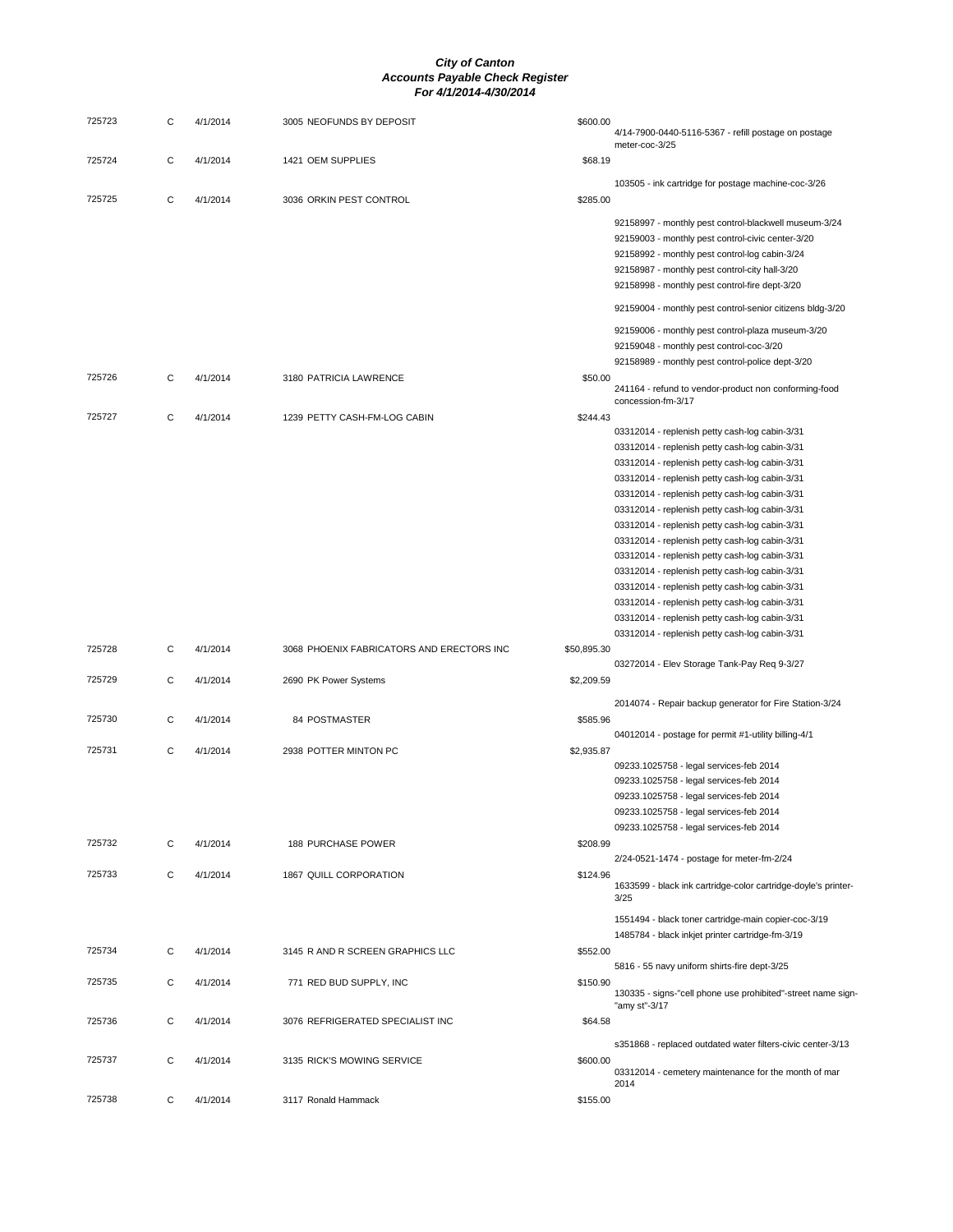| 725723 | С | 4/1/2014 | 3005 NEOFUNDS BY DEPOSIT                  | \$600.00    | 4/14-7900-0440-5116-5367 - refill postage on postage<br>meter-coc-3/25                                                                                                                                                                                                                                                                                                                                                                                                                                                                                                                                                                                                 |
|--------|---|----------|-------------------------------------------|-------------|------------------------------------------------------------------------------------------------------------------------------------------------------------------------------------------------------------------------------------------------------------------------------------------------------------------------------------------------------------------------------------------------------------------------------------------------------------------------------------------------------------------------------------------------------------------------------------------------------------------------------------------------------------------------|
| 725724 | С | 4/1/2014 | 1421 OEM SUPPLIES                         | \$68.19     |                                                                                                                                                                                                                                                                                                                                                                                                                                                                                                                                                                                                                                                                        |
| 725725 | C | 4/1/2014 | 3036 ORKIN PEST CONTROL                   | \$285.00    | 103505 - ink cartridge for postage machine-coc-3/26                                                                                                                                                                                                                                                                                                                                                                                                                                                                                                                                                                                                                    |
|        |   |          |                                           |             | 92158997 - monthly pest control-blackwell museum-3/24<br>92159003 - monthly pest control-civic center-3/20<br>92158992 - monthly pest control-log cabin-3/24<br>92158987 - monthly pest control-city hall-3/20<br>92158998 - monthly pest control-fire dept-3/20                                                                                                                                                                                                                                                                                                                                                                                                       |
|        |   |          |                                           |             | 92159004 - monthly pest control-senior citizens bldg-3/20                                                                                                                                                                                                                                                                                                                                                                                                                                                                                                                                                                                                              |
|        |   |          |                                           |             | 92159006 - monthly pest control-plaza museum-3/20<br>92159048 - monthly pest control-coc-3/20<br>92158989 - monthly pest control-police dept-3/20                                                                                                                                                                                                                                                                                                                                                                                                                                                                                                                      |
| 725726 | С | 4/1/2014 | 3180 PATRICIA LAWRENCE                    | \$50.00     | 241164 - refund to vendor-product non conforming-food<br>concession-fm-3/17                                                                                                                                                                                                                                                                                                                                                                                                                                                                                                                                                                                            |
| 725727 | C | 4/1/2014 | 1239 PETTY CASH-FM-LOG CABIN              | \$244.43    | 03312014 - replenish petty cash-log cabin-3/31<br>03312014 - replenish petty cash-log cabin-3/31<br>03312014 - replenish petty cash-log cabin-3/31<br>03312014 - replenish petty cash-log cabin-3/31<br>03312014 - replenish petty cash-log cabin-3/31<br>03312014 - replenish petty cash-log cabin-3/31<br>03312014 - replenish petty cash-log cabin-3/31<br>03312014 - replenish petty cash-log cabin-3/31<br>03312014 - replenish petty cash-log cabin-3/31<br>03312014 - replenish petty cash-log cabin-3/31<br>03312014 - replenish petty cash-log cabin-3/31<br>03312014 - replenish petty cash-log cabin-3/31<br>03312014 - replenish petty cash-log cabin-3/31 |
| 725728 | C | 4/1/2014 | 3068 PHOENIX FABRICATORS AND ERECTORS INC | \$50,895.30 | 03312014 - replenish petty cash-log cabin-3/31<br>03272014 - Elev Storage Tank-Pay Req 9-3/27                                                                                                                                                                                                                                                                                                                                                                                                                                                                                                                                                                          |
| 725729 | C | 4/1/2014 | 2690 PK Power Systems                     | \$2,209.59  |                                                                                                                                                                                                                                                                                                                                                                                                                                                                                                                                                                                                                                                                        |
| 725730 | C | 4/1/2014 | 84 POSTMASTER                             | \$585.96    | 2014074 - Repair backup generator for Fire Station-3/24<br>04012014 - postage for permit #1-utility billing-4/1                                                                                                                                                                                                                                                                                                                                                                                                                                                                                                                                                        |
| 725731 | C | 4/1/2014 | 2938 POTTER MINTON PC                     | \$2,935.87  | 09233.1025758 - legal services-feb 2014<br>09233.1025758 - legal services-feb 2014<br>09233.1025758 - legal services-feb 2014<br>09233.1025758 - legal services-feb 2014<br>09233.1025758 - legal services-feb 2014                                                                                                                                                                                                                                                                                                                                                                                                                                                    |
| 725732 | C | 4/1/2014 | <b>188 PURCHASE POWER</b>                 | \$208.99    | 2/24-0521-1474 - postage for meter-fm-2/24                                                                                                                                                                                                                                                                                                                                                                                                                                                                                                                                                                                                                             |
| 725733 | С | 4/1/2014 | 1867 QUILL CORPORATION                    | \$124.96    | 1633599 - black ink cartridge-color cartridge-doyle's printer-<br>3/25                                                                                                                                                                                                                                                                                                                                                                                                                                                                                                                                                                                                 |
|        |   |          |                                           |             | 1551494 - black toner cartridge-main copier-coc-3/19<br>1485784 - black inkjet printer cartridge-fm-3/19                                                                                                                                                                                                                                                                                                                                                                                                                                                                                                                                                               |
| 725734 | С | 4/1/2014 | 3145 R AND R SCREEN GRAPHICS LLC          | \$552.00    | 5816 - 55 navy uniform shirts-fire dept-3/25                                                                                                                                                                                                                                                                                                                                                                                                                                                                                                                                                                                                                           |
| 725735 | C | 4/1/2014 | 771 RED BUD SUPPLY, INC                   | \$150.90    | 130335 - signs-"cell phone use prohibited"-street name sign-<br>"amy st"-3/17                                                                                                                                                                                                                                                                                                                                                                                                                                                                                                                                                                                          |
| 725736 | C | 4/1/2014 | 3076 REFRIGERATED SPECIALIST INC          | \$64.58     |                                                                                                                                                                                                                                                                                                                                                                                                                                                                                                                                                                                                                                                                        |
| 725737 | C | 4/1/2014 | 3135 RICK'S MOWING SERVICE                | \$600.00    | s351868 - replaced outdated water filters-civic center-3/13<br>03312014 - cemetery maintenance for the month of mar<br>2014                                                                                                                                                                                                                                                                                                                                                                                                                                                                                                                                            |
| 725738 | C | 4/1/2014 | 3117 Ronald Hammack                       | \$155.00    |                                                                                                                                                                                                                                                                                                                                                                                                                                                                                                                                                                                                                                                                        |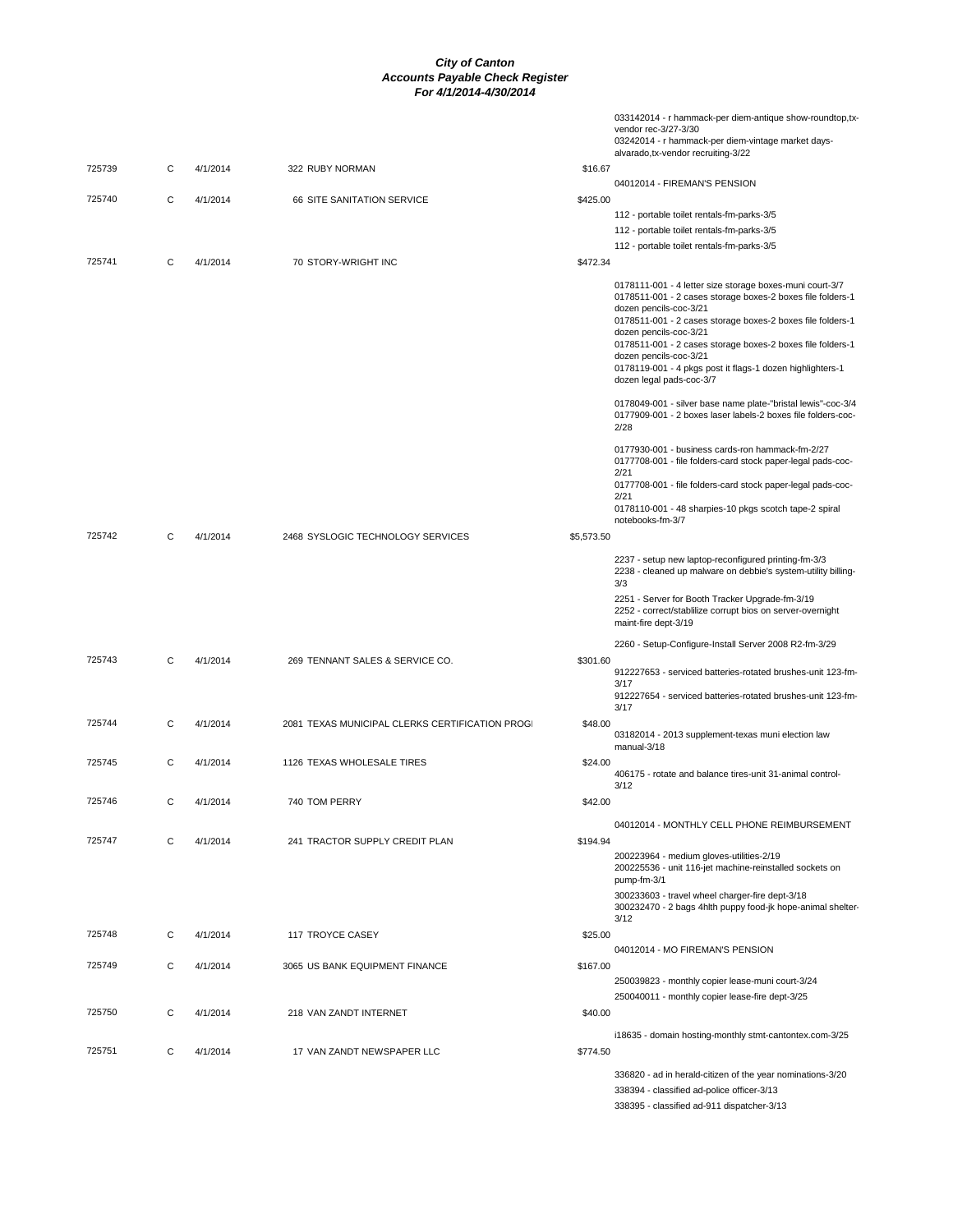|        |   |          |                                                 |            | 033142014 - r hammack-per diem-antique show-roundtop,tx-<br>vendor rec-3/27-3/30<br>03242014 - r hammack-per diem-vintage market days-<br>alvarado, tx-vendor recruiting-3/22                                                                                                                                                                                                                                             |
|--------|---|----------|-------------------------------------------------|------------|---------------------------------------------------------------------------------------------------------------------------------------------------------------------------------------------------------------------------------------------------------------------------------------------------------------------------------------------------------------------------------------------------------------------------|
| 725739 | C | 4/1/2014 | 322 RUBY NORMAN                                 | \$16.67    |                                                                                                                                                                                                                                                                                                                                                                                                                           |
| 725740 | C | 4/1/2014 | 66 SITE SANITATION SERVICE                      | \$425.00   | 04012014 - FIREMAN'S PENSION                                                                                                                                                                                                                                                                                                                                                                                              |
|        |   |          |                                                 |            | 112 - portable toilet rentals-fm-parks-3/5                                                                                                                                                                                                                                                                                                                                                                                |
|        |   |          |                                                 |            | 112 - portable toilet rentals-fm-parks-3/5                                                                                                                                                                                                                                                                                                                                                                                |
|        |   |          |                                                 |            | 112 - portable toilet rentals-fm-parks-3/5                                                                                                                                                                                                                                                                                                                                                                                |
| 725741 | С | 4/1/2014 | 70 STORY-WRIGHT INC                             | \$472.34   |                                                                                                                                                                                                                                                                                                                                                                                                                           |
|        |   |          |                                                 |            | 0178111-001 - 4 letter size storage boxes-muni court-3/7<br>0178511-001 - 2 cases storage boxes-2 boxes file folders-1<br>dozen pencils-coc-3/21<br>0178511-001 - 2 cases storage boxes-2 boxes file folders-1<br>dozen pencils-coc-3/21<br>0178511-001 - 2 cases storage boxes-2 boxes file folders-1<br>dozen pencils-coc-3/21<br>0178119-001 - 4 pkgs post it flags-1 dozen highlighters-1<br>dozen legal pads-coc-3/7 |
|        |   |          |                                                 |            | 0178049-001 - silver base name plate-"bristal lewis"-coc-3/4<br>0177909-001 - 2 boxes laser labels-2 boxes file folders-coc-<br>2/28                                                                                                                                                                                                                                                                                      |
|        |   |          |                                                 |            | 0177930-001 - business cards-ron hammack-fm-2/27<br>0177708-001 - file folders-card stock paper-legal pads-coc-<br>2/21<br>0177708-001 - file folders-card stock paper-legal pads-coc-                                                                                                                                                                                                                                    |
|        |   |          |                                                 |            | 2/21<br>0178110-001 - 48 sharpies-10 pkgs scotch tape-2 spiral<br>notebooks-fm-3/7                                                                                                                                                                                                                                                                                                                                        |
| 725742 | С | 4/1/2014 | 2468 SYSLOGIC TECHNOLOGY SERVICES               | \$5,573.50 |                                                                                                                                                                                                                                                                                                                                                                                                                           |
|        |   |          |                                                 |            | 2237 - setup new laptop-reconfigured printing-fm-3/3<br>2238 - cleaned up malware on debbie's system-utility billing-<br>3/3                                                                                                                                                                                                                                                                                              |
|        |   |          |                                                 |            | 2251 - Server for Booth Tracker Upgrade-fm-3/19<br>2252 - correct/stablilize corrupt bios on server-overnight<br>maint-fire dept-3/19                                                                                                                                                                                                                                                                                     |
|        |   |          |                                                 |            | 2260 - Setup-Configure-Install Server 2008 R2-fm-3/29                                                                                                                                                                                                                                                                                                                                                                     |
| 725743 | С | 4/1/2014 | 269 TENNANT SALES & SERVICE CO.                 | \$301.60   | 912227653 - serviced batteries-rotated brushes-unit 123-fm-<br>3/17                                                                                                                                                                                                                                                                                                                                                       |
|        |   |          |                                                 |            | 912227654 - serviced batteries-rotated brushes-unit 123-fm-<br>3/17                                                                                                                                                                                                                                                                                                                                                       |
| 725744 | С | 4/1/2014 | 2081 TEXAS MUNICIPAL CLERKS CERTIFICATION PROGI | \$48.00    | 03182014 - 2013 supplement-texas muni election law<br>manual-3/18                                                                                                                                                                                                                                                                                                                                                         |
| 725745 | С | 4/1/2014 | 1126 TEXAS WHOLESALE TIRES                      | \$24.00    | 406175 - rotate and balance tires-unit 31-animal control-<br>3/12                                                                                                                                                                                                                                                                                                                                                         |
| 725746 | C | 4/1/2014 | 740 TOM PERRY                                   | \$42.00    |                                                                                                                                                                                                                                                                                                                                                                                                                           |
| 725747 | C | 4/1/2014 | 241 TRACTOR SUPPLY CREDIT PLAN                  | \$194.94   | 04012014 - MONTHLY CELL PHONE REIMBURSEMENT                                                                                                                                                                                                                                                                                                                                                                               |
|        |   |          |                                                 |            | 200223964 - medium gloves-utilities-2/19<br>200225536 - unit 116-jet machine-reinstalled sockets on<br>pump-fm-3/1                                                                                                                                                                                                                                                                                                        |
|        |   |          |                                                 |            | 300233603 - travel wheel charger-fire dept-3/18<br>300232470 - 2 bags 4hlth puppy food-jk hope-animal shelter-<br>3/12                                                                                                                                                                                                                                                                                                    |
| 725748 | С | 4/1/2014 | 117 TROYCE CASEY                                | \$25.00    | 04012014 - MO FIREMAN'S PENSION                                                                                                                                                                                                                                                                                                                                                                                           |
| 725749 | С | 4/1/2014 | 3065 US BANK EQUIPMENT FINANCE                  | \$167.00   | 250039823 - monthly copier lease-muni court-3/24                                                                                                                                                                                                                                                                                                                                                                          |
|        |   |          |                                                 |            | 250040011 - monthly copier lease-fire dept-3/25                                                                                                                                                                                                                                                                                                                                                                           |
| 725750 | C | 4/1/2014 | 218 VAN ZANDT INTERNET                          | \$40.00    | i18635 - domain hosting-monthly stmt-cantontex.com-3/25                                                                                                                                                                                                                                                                                                                                                                   |
| 725751 | С | 4/1/2014 | 17 VAN ZANDT NEWSPAPER LLC                      | \$774.50   |                                                                                                                                                                                                                                                                                                                                                                                                                           |
|        |   |          |                                                 |            | 336820 - ad in herald-citizen of the year nominations-3/20<br>338394 - classified ad-police officer-3/13<br>338395 - classified ad-911 dispatcher-3/13                                                                                                                                                                                                                                                                    |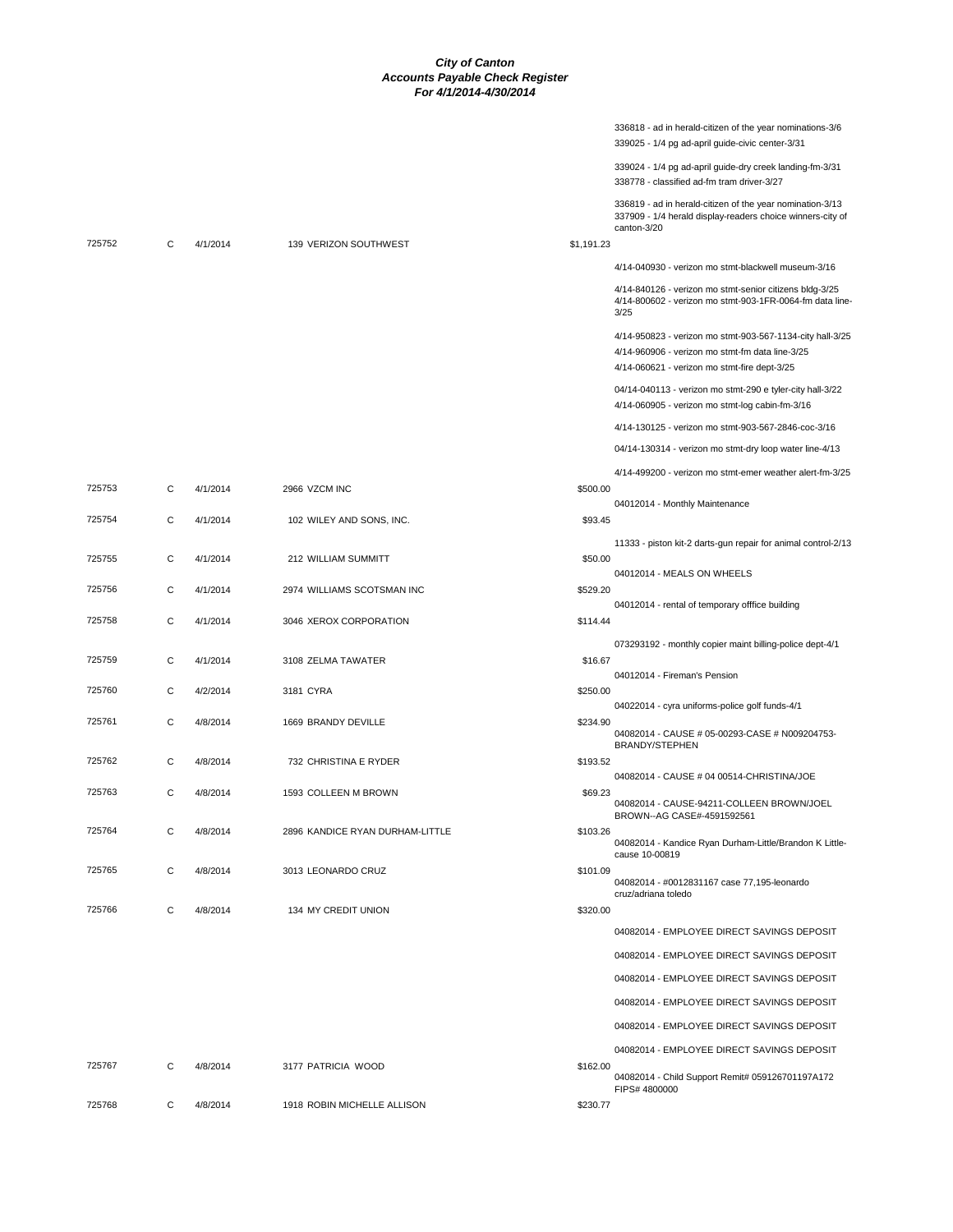|        |   |          |                                 | 336818 - ad in herald-citizen of the year nominations-3/6<br>339025 - 1/4 pg ad-april guide-civic center-3/31                                                |  |
|--------|---|----------|---------------------------------|--------------------------------------------------------------------------------------------------------------------------------------------------------------|--|
|        |   |          |                                 | 339024 - 1/4 pg ad-april guide-dry creek landing-fm-3/31<br>338778 - classified ad-fm tram driver-3/27                                                       |  |
| 725752 | C | 4/1/2014 | 139 VERIZON SOUTHWEST           | 336819 - ad in herald-citizen of the year nomination-3/13<br>337909 - 1/4 herald display-readers choice winners-city of<br>canton-3/20<br>\$1,191.23         |  |
|        |   |          |                                 | 4/14-040930 - verizon mo stmt-blackwell museum-3/16                                                                                                          |  |
|        |   |          |                                 | 4/14-840126 - verizon mo stmt-senior citizens bldg-3/25<br>4/14-800602 - verizon mo stmt-903-1FR-0064-fm data line<br>3/25                                   |  |
|        |   |          |                                 | 4/14-950823 - verizon mo stmt-903-567-1134-city hall-3/25<br>4/14-960906 - verizon mo stmt-fm data line-3/25<br>4/14-060621 - verizon mo stmt-fire dept-3/25 |  |
|        |   |          |                                 | 04/14-040113 - verizon mo stmt-290 e tyler-city hall-3/22<br>4/14-060905 - verizon mo stmt-log cabin-fm-3/16                                                 |  |
|        |   |          |                                 | 4/14-130125 - verizon mo stmt-903-567-2846-coc-3/16                                                                                                          |  |
|        |   |          |                                 | 04/14-130314 - verizon mo stmt-dry loop water line-4/13                                                                                                      |  |
|        |   |          |                                 | 4/14-499200 - verizon mo stmt-emer weather alert-fm-3/25                                                                                                     |  |
| 725753 | C | 4/1/2014 | 2966 VZCM INC                   | \$500.00<br>04012014 - Monthly Maintenance                                                                                                                   |  |
| 725754 | С | 4/1/2014 | 102 WILEY AND SONS, INC.        | \$93.45                                                                                                                                                      |  |
|        |   |          |                                 | 11333 - piston kit-2 darts-gun repair for animal control-2/13                                                                                                |  |
| 725755 | С | 4/1/2014 | 212 WILLIAM SUMMITT             | \$50.00<br>04012014 - MEALS ON WHEELS                                                                                                                        |  |
| 725756 | С | 4/1/2014 | 2974 WILLIAMS SCOTSMAN INC      | \$529.20                                                                                                                                                     |  |
| 725758 | C | 4/1/2014 | 3046 XEROX CORPORATION          | 04012014 - rental of temporary offfice building<br>\$114.44                                                                                                  |  |
|        |   |          |                                 | 073293192 - monthly copier maint billing-police dept-4/1                                                                                                     |  |
| 725759 | С | 4/1/2014 | 3108 ZELMA TAWATER              | \$16.67                                                                                                                                                      |  |
| 725760 | С | 4/2/2014 | 3181 CYRA                       | 04012014 - Fireman's Pension<br>\$250.00                                                                                                                     |  |
| 725761 | C | 4/8/2014 |                                 | 04022014 - cyra uniforms-police golf funds-4/1                                                                                                               |  |
|        |   |          | 1669 BRANDY DEVILLE             | \$234.90<br>04082014 - CAUSE # 05-00293-CASE # N009204753-<br><b>BRANDY/STEPHEN</b>                                                                          |  |
| 725762 | С | 4/8/2014 | 732 CHRISTINA E RYDER           | \$193.52                                                                                                                                                     |  |
| 725763 | С | 4/8/2014 | 1593 COLLEEN M BROWN            | 04082014 - CAUSE # 04 00514-CHRISTINA/JOE<br>\$69.23                                                                                                         |  |
|        |   |          |                                 | 04082014 - CAUSE-94211-COLLEEN BROWN/JOEL<br>BROWN--AG CASE#-4591592561                                                                                      |  |
| 725764 | C | 4/8/2014 | 2896 KANDICE RYAN DURHAM-LITTLE | \$103.26<br>04082014 - Kandice Ryan Durham-Little/Brandon K Little-<br>cause 10-00819                                                                        |  |
| 725765 | C | 4/8/2014 | 3013 LEONARDO CRUZ              | \$101.09<br>04082014 - #0012831167 case 77,195-leonardo                                                                                                      |  |
| 725766 | C | 4/8/2014 | 134 MY CREDIT UNION             | cruz/adriana toledo<br>\$320.00                                                                                                                              |  |
|        |   |          |                                 | 04082014 - EMPLOYEE DIRECT SAVINGS DEPOSIT                                                                                                                   |  |
|        |   |          |                                 | 04082014 - EMPLOYEE DIRECT SAVINGS DEPOSIT                                                                                                                   |  |
|        |   |          |                                 | 04082014 - EMPLOYEE DIRECT SAVINGS DEPOSIT                                                                                                                   |  |
|        |   |          |                                 | 04082014 - EMPLOYEE DIRECT SAVINGS DEPOSIT                                                                                                                   |  |
|        |   |          |                                 | 04082014 - EMPLOYEE DIRECT SAVINGS DEPOSIT                                                                                                                   |  |
|        |   |          |                                 | 04082014 - EMPLOYEE DIRECT SAVINGS DEPOSIT                                                                                                                   |  |
| 725767 | С | 4/8/2014 | 3177 PATRICIA WOOD              | \$162.00<br>04082014 - Child Support Remit# 059126701197A172<br>FIPS# 4800000                                                                                |  |
| 725768 | С | 4/8/2014 | 1918 ROBIN MICHELLE ALLISON     | \$230.77                                                                                                                                                     |  |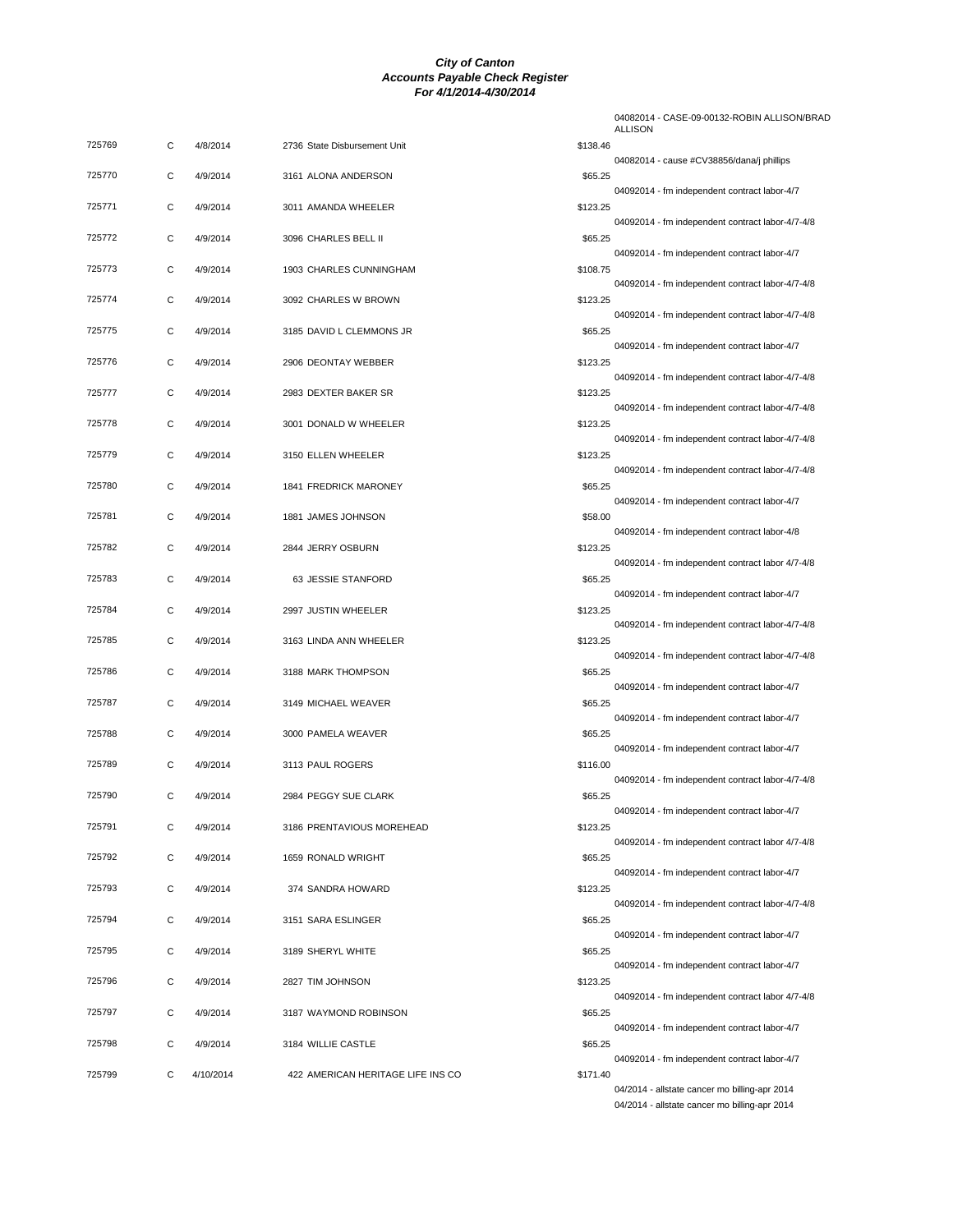| 725769 | С | 4/8/2014  | 2736 State Disbursement Unit      | \$138.46 |
|--------|---|-----------|-----------------------------------|----------|
| 725770 | С | 4/9/2014  | 3161 ALONA ANDERSON               | \$65.25  |
| 725771 | С | 4/9/2014  | 3011 AMANDA WHEELER               | \$123.25 |
| 725772 | C | 4/9/2014  | 3096 CHARLES BELL II              | \$65.25  |
| 725773 | С | 4/9/2014  | 1903 CHARLES CUNNINGHAM           | \$108.75 |
| 725774 | С | 4/9/2014  | 3092 CHARLES W BROWN              | \$123.25 |
| 725775 | С | 4/9/2014  | 3185 DAVID L CLEMMONS JR          | \$65.25  |
| 725776 | С | 4/9/2014  | 2906 DEONTAY WEBBER               | \$123.25 |
| 725777 | C | 4/9/2014  | 2983 DEXTER BAKER SR              | \$123.25 |
| 725778 | С | 4/9/2014  | 3001 DONALD W WHEELER             | \$123.25 |
| 725779 | С | 4/9/2014  | 3150 ELLEN WHEELER                | \$123.25 |
| 725780 | C | 4/9/2014  | 1841 FREDRICK MARONEY             | \$65.25  |
| 725781 | С | 4/9/2014  | 1881 JAMES JOHNSON                | \$58.00  |
| 725782 | С | 4/9/2014  | 2844 JERRY OSBURN                 | \$123.25 |
| 725783 | C | 4/9/2014  | 63 JESSIE STANFORD                | \$65.25  |
| 725784 | С | 4/9/2014  | 2997 JUSTIN WHEELER               | \$123.25 |
| 725785 | С | 4/9/2014  | 3163 LINDA ANN WHEELER            | \$123.25 |
| 725786 | C | 4/9/2014  | 3188 MARK THOMPSON                | \$65.25  |
| 725787 | С | 4/9/2014  | 3149 MICHAEL WEAVER               | \$65.25  |
| 725788 | С | 4/9/2014  | 3000 PAMELA WEAVER                | \$65.25  |
| 725789 | С | 4/9/2014  | 3113 PAUL ROGERS                  | \$116.00 |
| 725790 | С | 4/9/2014  | 2984 PEGGY SUE CLARK              | \$65.25  |
| 725791 | C | 4/9/2014  | 3186 PRENTAVIOUS MOREHEAD         | \$123.25 |
| 725792 | С | 4/9/2014  | 1659 RONALD WRIGHT                | \$65.25  |
| 725793 | С | 4/9/2014  | 374 SANDRA HOWARD                 | \$123.25 |
| 725794 | С | 4/9/2014  | 3151 SARA ESLINGER                | \$65.25  |
| 725795 | С | 4/9/2014  | 3189 SHERYL WHITE                 | \$65.25  |
| 725796 | С | 4/9/2014  | 2827 TIM JOHNSON                  | \$123.25 |
| 725797 | С | 4/9/2014  | 3187 WAYMOND ROBINSON             | \$65.25  |
| 725798 | С | 4/9/2014  | 3184 WILLIE CASTLE                | \$65.25  |
| 725799 | С | 4/10/2014 | 422 AMERICAN HERITAGE LIFE INS CO | \$171.40 |

|                     | 04082014 - CASE-09-00132-ROBIN ALLISON/BRAD<br>ALLISON                                               |
|---------------------|------------------------------------------------------------------------------------------------------|
| \$138.46            | 04082014 - cause #CV38856/dana/j phillips                                                            |
| \$65.25             | 04092014 - fm independent contract labor-4/7                                                         |
| \$123.25            | 04092014 - fm independent contract labor-4/7-4/8                                                     |
| \$65.25<br>\$108.75 | 04092014 - fm independent contract labor-4/7                                                         |
| \$123.25            | 04092014 - fm independent contract labor-4/7-4/8                                                     |
| \$65.25             | 04092014 - fm independent contract labor-4/7-4/8                                                     |
| \$123.25            | 04092014 - fm independent contract labor-4/7                                                         |
| \$123.25            | 04092014 - fm independent contract labor-4/7-4/8                                                     |
| \$123.25            | 04092014 - fm independent contract labor-4/7-4/8                                                     |
| \$123.25            | 04092014 - fm independent contract labor-4/7-4/8<br>04092014 - fm independent contract labor-4/7-4/8 |
| \$65.25             | 04092014 - fm independent contract labor-4/7                                                         |
| \$58.00             | 04092014 - fm independent contract labor-4/8                                                         |
| \$123.25            | 04092014 - fm independent contract labor 4/7-4/8                                                     |
| \$65.25             | 04092014 - fm independent contract labor-4/7                                                         |
| \$123.25            | 04092014 - fm independent contract labor-4/7-4/8                                                     |
| \$123.25            | 04092014 - fm independent contract labor-4/7-4/8                                                     |
| \$65.25<br>\$65.25  | 04092014 - fm independent contract labor-4/7                                                         |
| \$65.25             | 04092014 - fm independent contract labor-4/7                                                         |
| \$116.00            | 04092014 - fm independent contract labor-4/7                                                         |
| \$65.25             | 04092014 - fm independent contract labor-4/7-4/8                                                     |
| \$123.25            | 04092014 - fm independent contract labor-4/7                                                         |
| \$65.25             | 04092014 - fm independent contract labor 4/7-4/8                                                     |
| \$123.25            | 04092014 - fm independent contract labor-4/7<br>04092014 - fm independent contract labor-4/7-4/8     |
| \$65.25             | 04092014 - fm independent contract labor-4/7                                                         |
| \$65.25             | 04092014 - fm independent contract labor-4/7                                                         |
| \$123.25            | 04092014 - fm independent contract labor 4/7-4/8                                                     |
| \$65.25             | 04092014 - fm independent contract labor-4/7                                                         |
| \$65.25             | 04092014 - fm independent contract labor-4/7                                                         |
| \$171.40            | 04/2014 - allstate cancer mo billing-apr 2014                                                        |

04/2014 - allstate cancer mo billing-apr 2014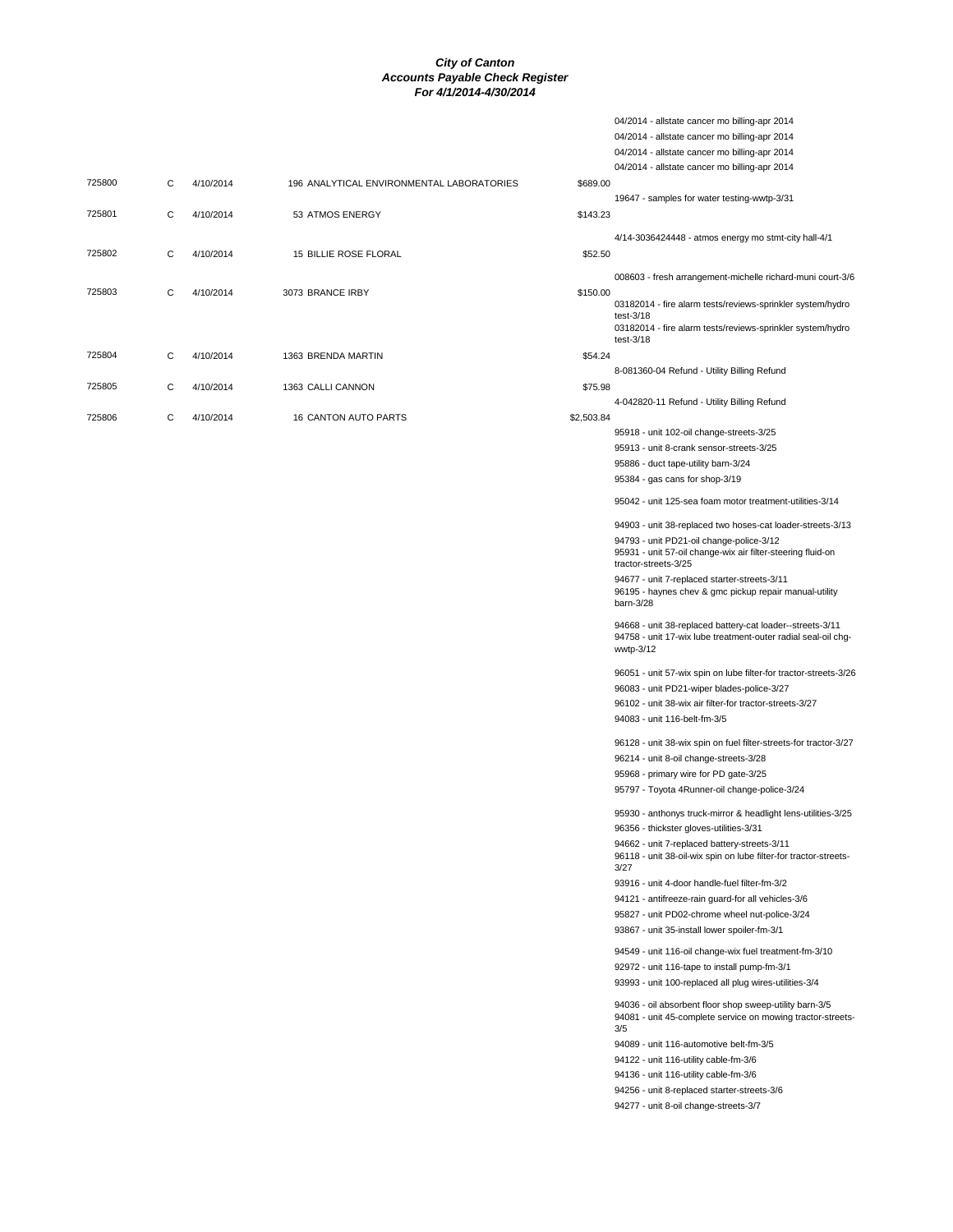04/2014 - allstate cancer mo billing-apr 2014

|        |   |           |                                           |            | 04/2014 - allstate cancer mo billing-apr 2014                                                                              |
|--------|---|-----------|-------------------------------------------|------------|----------------------------------------------------------------------------------------------------------------------------|
|        |   |           |                                           |            | 04/2014 - allstate cancer mo billing-apr 2014                                                                              |
|        |   |           |                                           |            | 04/2014 - allstate cancer mo billing-apr 2014                                                                              |
| 725800 | C | 4/10/2014 | 196 ANALYTICAL ENVIRONMENTAL LABORATORIES | \$689.00   |                                                                                                                            |
|        |   |           |                                           |            | 19647 - samples for water testing-wwtp-3/31                                                                                |
| 725801 | С | 4/10/2014 | 53 ATMOS ENERGY                           | \$143.23   |                                                                                                                            |
|        |   |           |                                           |            |                                                                                                                            |
|        |   |           |                                           |            | 4/14-3036424448 - atmos energy mo stmt-city hall-4/1                                                                       |
| 725802 | C | 4/10/2014 | 15 BILLIE ROSE FLORAL                     | \$52.50    |                                                                                                                            |
|        |   |           |                                           |            |                                                                                                                            |
|        |   |           |                                           |            | 008603 - fresh arrangement-michelle richard-muni court-3/6                                                                 |
| 725803 | С | 4/10/2014 | 3073 BRANCE IRBY                          | \$150.00   |                                                                                                                            |
|        |   |           |                                           |            | 03182014 - fire alarm tests/reviews-sprinkler system/hydro                                                                 |
|        |   |           |                                           |            | test- $3/18$<br>03182014 - fire alarm tests/reviews-sprinkler system/hydro                                                 |
|        |   |           |                                           |            | $test-3/18$                                                                                                                |
| 725804 | С | 4/10/2014 | 1363 BRENDA MARTIN                        | \$54.24    |                                                                                                                            |
|        |   |           |                                           |            | 8-081360-04 Refund - Utility Billing Refund                                                                                |
|        |   |           |                                           |            |                                                                                                                            |
| 725805 | С | 4/10/2014 | 1363 CALLI CANNON                         | \$75.98    |                                                                                                                            |
|        |   |           |                                           |            | 4-042820-11 Refund - Utility Billing Refund                                                                                |
| 725806 | С | 4/10/2014 | <b>16 CANTON AUTO PARTS</b>               | \$2,503.84 |                                                                                                                            |
|        |   |           |                                           |            | 95918 - unit 102-oil change-streets-3/25                                                                                   |
|        |   |           |                                           |            | 95913 - unit 8-crank sensor-streets-3/25                                                                                   |
|        |   |           |                                           |            | 95886 - duct tape-utility barn-3/24                                                                                        |
|        |   |           |                                           |            | 95384 - gas cans for shop-3/19                                                                                             |
|        |   |           |                                           |            |                                                                                                                            |
|        |   |           |                                           |            | 95042 - unit 125-sea foam motor treatment-utilities-3/14                                                                   |
|        |   |           |                                           |            | 94903 - unit 38-replaced two hoses-cat loader-streets-3/13                                                                 |
|        |   |           |                                           |            |                                                                                                                            |
|        |   |           |                                           |            | 94793 - unit PD21-oil change-police-3/12<br>95931 - unit 57-oil change-wix air filter-steering fluid-on                    |
|        |   |           |                                           |            | tractor-streets-3/25                                                                                                       |
|        |   |           |                                           |            | 94677 - unit 7-replaced starter-streets-3/11                                                                               |
|        |   |           |                                           |            | 96195 - haynes chev & gmc pickup repair manual-utility                                                                     |
|        |   |           |                                           |            | barn-3/28                                                                                                                  |
|        |   |           |                                           |            |                                                                                                                            |
|        |   |           |                                           |            | 94668 - unit 38-replaced battery-cat loader--streets-3/11<br>94758 - unit 17-wix lube treatment-outer radial seal-oil chg- |
|        |   |           |                                           |            | wwtp-3/12                                                                                                                  |
|        |   |           |                                           |            |                                                                                                                            |
|        |   |           |                                           |            | 96051 - unit 57-wix spin on lube filter-for tractor-streets-3/26                                                           |
|        |   |           |                                           |            | 96083 - unit PD21-wiper blades-police-3/27                                                                                 |
|        |   |           |                                           |            | 96102 - unit 38-wix air filter-for tractor-streets-3/27                                                                    |
|        |   |           |                                           |            | 94083 - unit 116-belt-fm-3/5                                                                                               |
|        |   |           |                                           |            |                                                                                                                            |
|        |   |           |                                           |            | 96128 - unit 38-wix spin on fuel filter-streets-for tractor-3/27                                                           |
|        |   |           |                                           |            | 96214 - unit 8-oil change-streets-3/28                                                                                     |
|        |   |           |                                           |            | 95968 - primary wire for PD gate-3/25                                                                                      |
|        |   |           |                                           |            | 95797 - Toyota 4Runner-oil change-police-3/24                                                                              |
|        |   |           |                                           |            |                                                                                                                            |
|        |   |           |                                           |            | 95930 - anthonys truck-mirror & headlight lens-utilities-3/25                                                              |
|        |   |           |                                           |            | 96356 - thickster gloves-utilities-3/31                                                                                    |
|        |   |           |                                           |            | 94662 - unit 7-replaced battery-streets-3/11                                                                               |
|        |   |           |                                           |            | 96118 - unit 38-oil-wix spin on lube filter-for tractor-streets-                                                           |
|        |   |           |                                           |            | 3/27                                                                                                                       |
|        |   |           |                                           |            | 93916 - unit 4-door handle-fuel filter-fm-3/2                                                                              |
|        |   |           |                                           |            | 94121 - antifreeze-rain guard-for all vehicles-3/6                                                                         |
|        |   |           |                                           |            | 95827 - unit PD02-chrome wheel nut-police-3/24                                                                             |
|        |   |           |                                           |            | 93867 - unit 35-install lower spoiler-fm-3/1                                                                               |
|        |   |           |                                           |            |                                                                                                                            |
|        |   |           |                                           |            | 94549 - unit 116-oil change-wix fuel treatment-fm-3/10                                                                     |
|        |   |           |                                           |            | 92972 - unit 116-tape to install pump-fm-3/1                                                                               |
|        |   |           |                                           |            | 93993 - unit 100-replaced all plug wires-utilities-3/4                                                                     |
|        |   |           |                                           |            |                                                                                                                            |
|        |   |           |                                           |            | 94036 - oil absorbent floor shop sweep-utility barn-3/5                                                                    |
|        |   |           |                                           |            | 94081 - unit 45-complete service on mowing tractor-streets-<br>3/5                                                         |
|        |   |           |                                           |            |                                                                                                                            |
|        |   |           |                                           |            | 94089 - unit 116-automotive belt-fm-3/5                                                                                    |
|        |   |           |                                           |            | 94122 - unit 116-utility cable-fm-3/6                                                                                      |
|        |   |           |                                           |            | 94136 - unit 116-utility cable-fm-3/6                                                                                      |
|        |   |           |                                           |            | 94256 - unit 8-replaced starter-streets-3/6                                                                                |
|        |   |           |                                           |            | 94277 - unit 8-oil change-streets-3/7                                                                                      |
|        |   |           |                                           |            |                                                                                                                            |
|        |   |           |                                           |            |                                                                                                                            |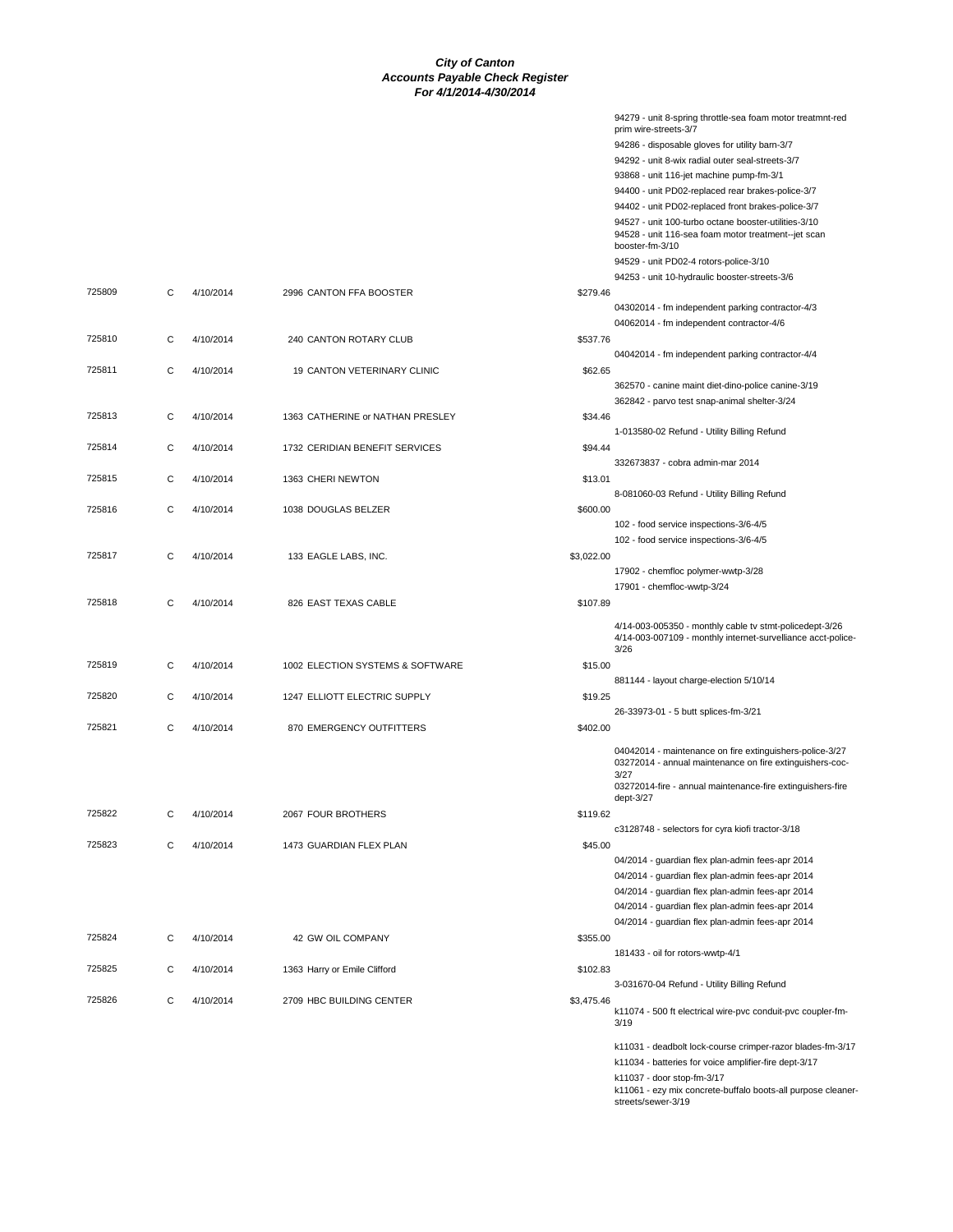|        |   |           |                                  |            | 94279 - unit 8-spring throttle-sea foam motor treatmnt-red<br>prim wire-streets-3/7                                             |
|--------|---|-----------|----------------------------------|------------|---------------------------------------------------------------------------------------------------------------------------------|
|        |   |           |                                  |            | 94286 - disposable gloves for utility barn-3/7                                                                                  |
|        |   |           |                                  |            | 94292 - unit 8-wix radial outer seal-streets-3/7                                                                                |
|        |   |           |                                  |            | 93868 - unit 116-jet machine pump-fm-3/1                                                                                        |
|        |   |           |                                  |            | 94400 - unit PD02-replaced rear brakes-police-3/7                                                                               |
|        |   |           |                                  |            | 94402 - unit PD02-replaced front brakes-police-3/7                                                                              |
|        |   |           |                                  |            | 94527 - unit 100-turbo octane booster-utilities-3/10<br>94528 - unit 116-sea foam motor treatment--jet scan<br>booster-fm-3/10  |
|        |   |           |                                  |            | 94529 - unit PD02-4 rotors-police-3/10                                                                                          |
|        |   |           |                                  |            | 94253 - unit 10-hydraulic booster-streets-3/6                                                                                   |
| 725809 | С | 4/10/2014 | 2996 CANTON FFA BOOSTER          | \$279.46   |                                                                                                                                 |
|        |   |           |                                  |            | 04302014 - fm independent parking contractor-4/3<br>04062014 - fm independent contractor-4/6                                    |
| 725810 | С | 4/10/2014 | 240 CANTON ROTARY CLUB           | \$537.76   | 04042014 - fm independent parking contractor-4/4                                                                                |
| 725811 | C | 4/10/2014 | 19 CANTON VETERINARY CLINIC      | \$62.65    |                                                                                                                                 |
|        |   |           |                                  |            | 362570 - canine maint diet-dino-police canine-3/19                                                                              |
|        |   |           |                                  |            | 362842 - parvo test snap-animal shelter-3/24                                                                                    |
| 725813 | С | 4/10/2014 | 1363 CATHERINE or NATHAN PRESLEY | \$34.46    |                                                                                                                                 |
|        |   |           |                                  |            | 1-013580-02 Refund - Utility Billing Refund                                                                                     |
| 725814 | С | 4/10/2014 | 1732 CERIDIAN BENEFIT SERVICES   | \$94.44    |                                                                                                                                 |
|        |   |           |                                  |            | 332673837 - cobra admin-mar 2014                                                                                                |
| 725815 | С | 4/10/2014 | 1363 CHERI NEWTON                | \$13.01    |                                                                                                                                 |
|        |   |           |                                  |            | 8-081060-03 Refund - Utility Billing Refund                                                                                     |
| 725816 | C | 4/10/2014 | 1038 DOUGLAS BELZER              | \$600.00   |                                                                                                                                 |
|        |   |           |                                  |            | 102 - food service inspections-3/6-4/5                                                                                          |
|        |   |           |                                  |            | 102 - food service inspections-3/6-4/5                                                                                          |
| 725817 | С | 4/10/2014 | 133 EAGLE LABS, INC.             | \$3,022.00 |                                                                                                                                 |
|        |   |           |                                  |            | 17902 - chemfloc polymer-wwtp-3/28                                                                                              |
|        |   |           |                                  |            | 17901 - chemfloc-wwtp-3/24                                                                                                      |
| 725818 | C | 4/10/2014 | 826 EAST TEXAS CABLE             | \$107.89   |                                                                                                                                 |
|        |   |           |                                  |            | 4/14-003-005350 - monthly cable tv stmt-policedept-3/26<br>4/14-003-007109 - monthly internet-survelliance acct-police-<br>3/26 |
| 725819 | С | 4/10/2014 | 1002 ELECTION SYSTEMS & SOFTWARE | \$15.00    | 881144 - layout charge-election 5/10/14                                                                                         |
| 725820 | С | 4/10/2014 | 1247 ELLIOTT ELECTRIC SUPPLY     | \$19.25    |                                                                                                                                 |
|        |   |           |                                  |            | 26-33973-01 - 5 butt splices-fm-3/21                                                                                            |
| 725821 | С | 4/10/2014 | 870 EMERGENCY OUTFITTERS         | \$402.00   |                                                                                                                                 |
|        |   |           |                                  |            | 04042014 - maintenance on fire extinguishers-police-3/27<br>03272014 - annual maintenance on fire extinguishers-coc-            |
|        |   |           |                                  |            | 3/27<br>03272014-fire - annual maintenance-fire extinguishers-fire<br>dept-3/27                                                 |
| 725822 | С | 4/10/2014 | 2067 FOUR BROTHERS               | \$119.62   |                                                                                                                                 |
|        |   |           |                                  |            | c3128748 - selectors for cyra kiofi tractor-3/18                                                                                |
| 725823 | C | 4/10/2014 | 1473 GUARDIAN FLEX PLAN          | \$45.00    |                                                                                                                                 |
|        |   |           |                                  |            | 04/2014 - guardian flex plan-admin fees-apr 2014                                                                                |
|        |   |           |                                  |            | 04/2014 - guardian flex plan-admin fees-apr 2014                                                                                |
|        |   |           |                                  |            | 04/2014 - guardian flex plan-admin fees-apr 2014                                                                                |
|        |   |           |                                  |            | 04/2014 - guardian flex plan-admin fees-apr 2014                                                                                |
|        |   |           |                                  |            | 04/2014 - guardian flex plan-admin fees-apr 2014                                                                                |
| 725824 | С | 4/10/2014 | 42 GW OIL COMPANY                | \$355.00   |                                                                                                                                 |
|        |   |           |                                  |            | 181433 - oil for rotors-wwtp-4/1                                                                                                |
| 725825 | С | 4/10/2014 | 1363 Harry or Emile Clifford     | \$102.83   |                                                                                                                                 |
|        |   |           |                                  |            | 3-031670-04 Refund - Utility Billing Refund                                                                                     |
| 725826 | С | 4/10/2014 | 2709 HBC BUILDING CENTER         | \$3,475.46 | k11074 - 500 ft electrical wire-pvc conduit-pvc coupler-fm-<br>3/19                                                             |
|        |   |           |                                  |            | k11031 - deadbolt lock-course crimper-razor blades-fm-3/17                                                                      |
|        |   |           |                                  |            | k11034 - batteries for voice amplifier-fire dept-3/17                                                                           |
|        |   |           |                                  |            | k11037 - door stop-fm-3/17                                                                                                      |
|        |   |           |                                  |            | k11061 - ezy mix concrete-buffalo boots-all purpose cleaner-                                                                    |

k11061 - ezy mix concrete-buffalo boots-all purpose cleaner-streets/sewer-3/19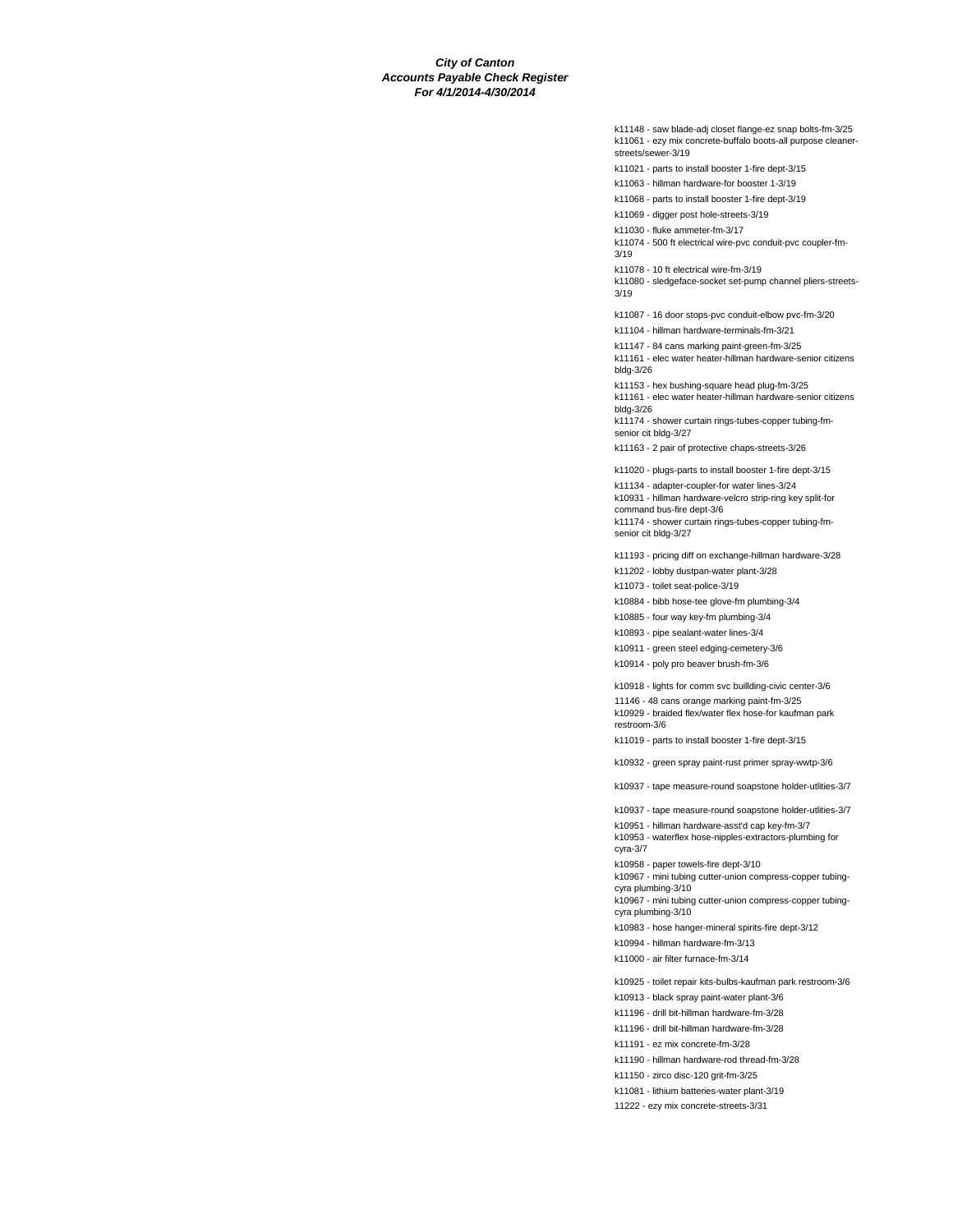k11148 - saw blade-adj closet flange-ez snap bolts-fm-3/25 k11061 - ezy mix concrete-buffalo boots-all purpose cleanerstreets/sewer-3/19

k11021 - parts to install booster 1-fire dept-3/15

k11063 - hillman hardware-for booster 1-3/19

k11068 - parts to install booster 1-fire dept-3/19

k11069 - digger post hole-streets-3/19

k11030 - fluke ammeter-fm-3/17

k11074 - 500 ft electrical wire-pvc conduit-pvc coupler-fm-3/19

k11078 - 10 ft electrical wire-fm-3/19

k11080 - sledgeface-socket set-pump channel pliers-streets-3/19

k11087 - 16 door stops-pvc conduit-elbow pvc-fm-3/20

k11104 - hillman hardware-terminals-fm-3/21

k11147 - 84 cans marking paint-green-fm-3/25 k11161 - elec water heater-hillman hardware-senior citizens bldg-3/26

k11153 - hex bushing-square head plug-fm-3/25 k11161 - elec water heater-hillman hardware-senior citizens bldg-3/26

k11174 - shower curtain rings-tubes-copper tubing-fmsenior cit bldg-3/27

k11163 - 2 pair of protective chaps-streets-3/26

k11020 - plugs-parts to install booster 1-fire dept-3/15

k11134 - adapter-coupler-for water lines-3/24 k10931 - hillman hardware-velcro strip-ring key split-for command bus-fire dept-3/6 k11174 - shower curtain rings-tubes-copper tubing-fmsenior cit bldg-3/27

k11193 - pricing diff on exchange-hillman hardware-3/28

k11202 - lobby dustpan-water plant-3/28

k11073 - toilet seat-police-3/19

k10884 - bibb hose-tee glove-fm plumbing-3/4

k10885 - four way key-fm plumbing-3/4

k10893 - pipe sealant-water lines-3/4

k10911 - green steel edging-cemetery-3/6

k10914 - poly pro beaver brush-fm-3/6

k10918 - lights for comm svc buillding-civic center-3/6

11146 - 48 cans orange marking paint-fm-3/25

k10929 - braided flex/water flex hose-for kaufman park restroom-3/6

k11019 - parts to install booster 1-fire dept-3/15

k10932 - green spray paint-rust primer spray-wwtp-3/6

k10937 - tape measure-round soapstone holder-utlities-3/7

k10937 - tape measure-round soapstone holder-utlities-3/7

k10951 - hillman hardware-asst'd cap key-fm-3/7

k10953 - waterflex hose-nipples-extractors-plumbing for cyra-3/7

k10958 - paper towels-fire dept-3/10

k10967 - mini tubing cutter-union compress-copper tubingcyra plumbing-3/10

k10967 - mini tubing cutter-union compress-copper tubingcyra plumbing-3/10

k10983 - hose hanger-mineral spirits-fire dept-3/12

k10994 - hillman hardware-fm-3/13

k11000 - air filter furnace-fm-3/14

k10925 - toilet repair kits-bulbs-kaufman park restroom-3/6

k10913 - black spray paint-water plant-3/6

k11196 - drill bit-hillman hardware-fm-3/28

k11196 - drill bit-hillman hardware-fm-3/28

k11191 - ez mix concrete-fm-3/28

k11190 - hillman hardware-rod thread-fm-3/28

k11150 - zirco disc-120 grit-fm-3/25

k11081 - lithium batteries-water plant-3/19

11222 - ezy mix concrete-streets-3/31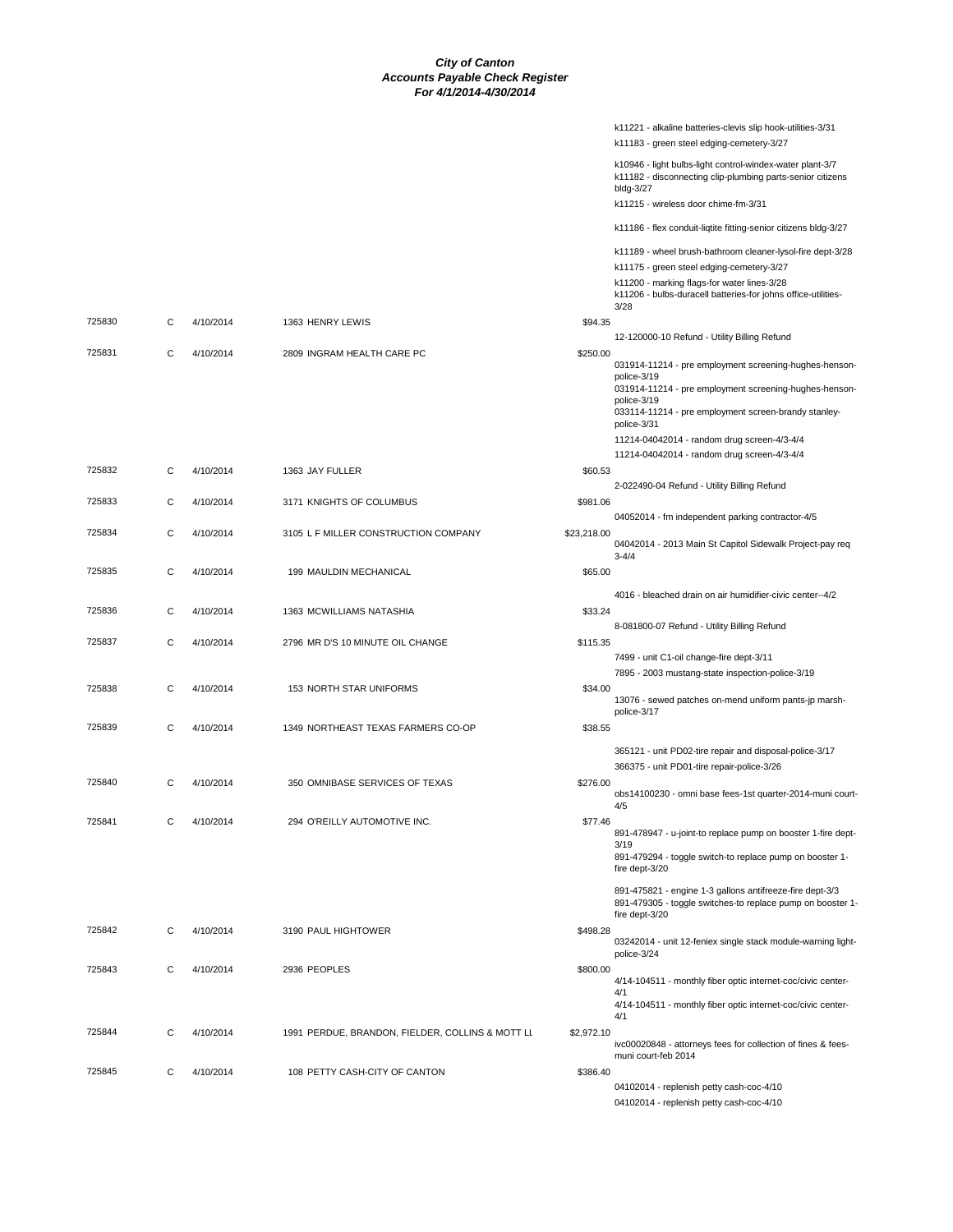|        |   |           |                                                  |             | k11221 - alkaline batteries-clevis slip hook-utilities-3/31<br>k11183 - green steel edging-cemetery-3/27                                 |
|--------|---|-----------|--------------------------------------------------|-------------|------------------------------------------------------------------------------------------------------------------------------------------|
|        |   |           |                                                  |             | k10946 - light bulbs-light control-windex-water plant-3/7<br>k11182 - disconnecting clip-plumbing parts-senior citizens<br>bldg-3/27     |
|        |   |           |                                                  |             | k11215 - wireless door chime-fm-3/31                                                                                                     |
|        |   |           |                                                  |             | k11186 - flex conduit-liqtite fitting-senior citizens bldg-3/27                                                                          |
|        |   |           |                                                  |             | k11189 - wheel brush-bathroom cleaner-lysol-fire dept-3/28                                                                               |
|        |   |           |                                                  |             | k11175 - green steel edging-cemetery-3/27<br>k11200 - marking flags-for water lines-3/28                                                 |
|        |   |           |                                                  |             | k11206 - bulbs-duracell batteries-for johns office-utilities-<br>3/28                                                                    |
| 725830 | C | 4/10/2014 | 1363 HENRY LEWIS                                 | \$94.35     |                                                                                                                                          |
| 725831 | C | 4/10/2014 | 2809 INGRAM HEALTH CARE PC                       | \$250.00    | 12-120000-10 Refund - Utility Billing Refund                                                                                             |
|        |   |           |                                                  |             | 031914-11214 - pre employment screening-hughes-henson-<br>police-3/19                                                                    |
|        |   |           |                                                  |             | 031914-11214 - pre employment screening-hughes-henson-<br>police-3/19                                                                    |
|        |   |           |                                                  |             | 033114-11214 - pre employment screen-brandy stanley-<br>police-3/31                                                                      |
|        |   |           |                                                  |             | 11214-04042014 - random drug screen-4/3-4/4<br>11214-04042014 - random drug screen-4/3-4/4                                               |
| 725832 | C | 4/10/2014 | 1363 JAY FULLER                                  | \$60.53     |                                                                                                                                          |
|        |   |           |                                                  |             | 2-022490-04 Refund - Utility Billing Refund                                                                                              |
| 725833 | С | 4/10/2014 | 3171 KNIGHTS OF COLUMBUS                         | \$981.06    | 04052014 - fm independent parking contractor-4/5                                                                                         |
| 725834 | C | 4/10/2014 | 3105 L F MILLER CONSTRUCTION COMPANY             | \$23,218.00 | 04042014 - 2013 Main St Capitol Sidewalk Project-pay req                                                                                 |
| 725835 |   |           |                                                  |             | $3 - 4/4$                                                                                                                                |
|        | С | 4/10/2014 | 199 MAULDIN MECHANICAL                           | \$65.00     |                                                                                                                                          |
| 725836 | C | 4/10/2014 | 1363 MCWILLIAMS NATASHIA                         | \$33.24     | 4016 - bleached drain on air humidifier-civic center--4/2                                                                                |
|        |   |           |                                                  |             | 8-081800-07 Refund - Utility Billing Refund                                                                                              |
| 725837 | C | 4/10/2014 | 2796 MR D'S 10 MINUTE OIL CHANGE                 | \$115.35    | 7499 - unit C1-oil change-fire dept-3/11                                                                                                 |
|        |   |           |                                                  |             | 7895 - 2003 mustang-state inspection-police-3/19                                                                                         |
| 725838 | С | 4/10/2014 | 153 NORTH STAR UNIFORMS                          | \$34.00     | 13076 - sewed patches on-mend uniform pants-jp marsh-<br>police-3/17                                                                     |
| 725839 | C | 4/10/2014 | 1349 NORTHEAST TEXAS FARMERS CO-OP               | \$38.55     |                                                                                                                                          |
|        |   |           |                                                  |             | 365121 - unit PD02-tire repair and disposal-police-3/17                                                                                  |
| 725840 | C | 4/10/2014 | 350 OMNIBASE SERVICES OF TEXAS                   | \$276.00    | 366375 - unit PD01-tire repair-police-3/26                                                                                               |
|        |   |           |                                                  |             | obs14100230 - omni base fees-1st quarter-2014-muni court-<br>4/5                                                                         |
| 725841 | С | 4/10/2014 | 294 O'REILLY AUTOMOTIVE INC.                     | \$77.46     | 891-478947 - u-joint-to replace pump on booster 1-fire dept-                                                                             |
|        |   |           |                                                  |             | 3/19<br>891-479294 - toggle switch-to replace pump on booster 1-                                                                         |
|        |   |           |                                                  |             | fire dept-3/20                                                                                                                           |
|        |   |           |                                                  |             | 891-475821 - engine 1-3 gallons antifreeze-fire dept-3/3<br>891-479305 - toggle switches-to replace pump on booster 1-<br>fire dept-3/20 |
| 725842 | C | 4/10/2014 | 3190 PAUL HIGHTOWER                              | \$498.28    | 03242014 - unit 12-feniex single stack module-warning light-                                                                             |
|        |   |           |                                                  |             | police-3/24                                                                                                                              |
| 725843 | С | 4/10/2014 | 2936 PEOPLES                                     | \$800.00    | 4/14-104511 - monthly fiber optic internet-coc/civic center-                                                                             |
|        |   |           |                                                  |             | 4/1<br>4/14-104511 - monthly fiber optic internet-coc/civic center-<br>4/1                                                               |
| 725844 | С | 4/10/2014 | 1991 PERDUE, BRANDON, FIELDER, COLLINS & MOTT LL | \$2,972.10  |                                                                                                                                          |
|        |   |           |                                                  |             | ivc00020848 - attorneys fees for collection of fines & fees-<br>muni court-feb 2014                                                      |
| 725845 | C | 4/10/2014 | 108 PETTY CASH-CITY OF CANTON                    | \$386.40    | 04102014 - replenish petty cash-coc-4/10                                                                                                 |
|        |   |           |                                                  |             | 04102014 - replenish petty cash-coc-4/10                                                                                                 |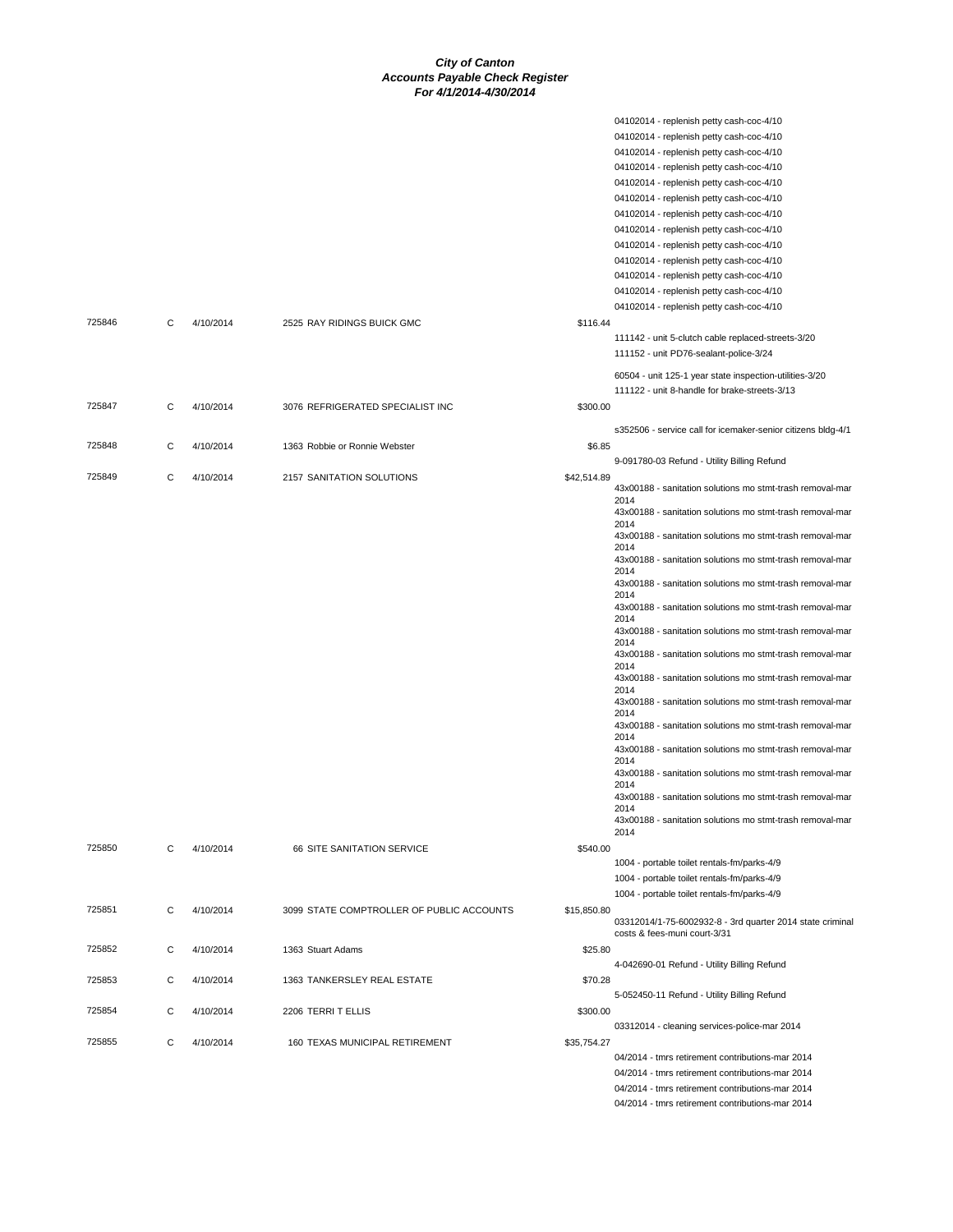| 725846 | С | 4/10/2014 | 2525 RAY RIDINGS BUICK GMC                | \$116.44    | 04102014 - replenish petty cash-coc-4/10<br>04102014 - replenish petty cash-coc-4/10<br>04102014 - replenish petty cash-coc-4/10<br>04102014 - replenish petty cash-coc-4/10<br>04102014 - replenish petty cash-coc-4/10<br>04102014 - replenish petty cash-coc-4/10<br>04102014 - replenish petty cash-coc-4/10<br>04102014 - replenish petty cash-coc-4/10<br>04102014 - replenish petty cash-coc-4/10<br>04102014 - replenish petty cash-coc-4/10<br>04102014 - replenish petty cash-coc-4/10<br>04102014 - replenish petty cash-coc-4/10<br>04102014 - replenish petty cash-coc-4/10 |
|--------|---|-----------|-------------------------------------------|-------------|------------------------------------------------------------------------------------------------------------------------------------------------------------------------------------------------------------------------------------------------------------------------------------------------------------------------------------------------------------------------------------------------------------------------------------------------------------------------------------------------------------------------------------------------------------------------------------------|
|        |   |           |                                           |             | 111142 - unit 5-clutch cable replaced-streets-3/20<br>111152 - unit PD76-sealant-police-3/24<br>60504 - unit 125-1 year state inspection-utilities-3/20<br>111122 - unit 8-handle for brake-streets-3/13                                                                                                                                                                                                                                                                                                                                                                                 |
| 725847 | C | 4/10/2014 | 3076 REFRIGERATED SPECIALIST INC          | \$300.00    |                                                                                                                                                                                                                                                                                                                                                                                                                                                                                                                                                                                          |
| 725848 | С | 4/10/2014 | 1363 Robbie or Ronnie Webster             | \$6.85      | s352506 - service call for icemaker-senior citizens bldg-4/1                                                                                                                                                                                                                                                                                                                                                                                                                                                                                                                             |
| 725849 |   | 4/10/2014 |                                           |             | 9-091780-03 Refund - Utility Billing Refund                                                                                                                                                                                                                                                                                                                                                                                                                                                                                                                                              |
|        | С |           | 2157 SANITATION SOLUTIONS                 | \$42,514.89 | 43x00188 - sanitation solutions mo stmt-trash removal-mar<br>2014                                                                                                                                                                                                                                                                                                                                                                                                                                                                                                                        |
|        |   |           |                                           |             | 43x00188 - sanitation solutions mo stmt-trash removal-mar<br>2014                                                                                                                                                                                                                                                                                                                                                                                                                                                                                                                        |
|        |   |           |                                           |             | 43x00188 - sanitation solutions mo stmt-trash removal-mar<br>2014                                                                                                                                                                                                                                                                                                                                                                                                                                                                                                                        |
|        |   |           |                                           |             | 43x00188 - sanitation solutions mo stmt-trash removal-mar<br>2014                                                                                                                                                                                                                                                                                                                                                                                                                                                                                                                        |
|        |   |           |                                           |             | 43x00188 - sanitation solutions mo stmt-trash removal-mar<br>2014                                                                                                                                                                                                                                                                                                                                                                                                                                                                                                                        |
|        |   |           |                                           |             | 43x00188 - sanitation solutions mo stmt-trash removal-mar<br>2014                                                                                                                                                                                                                                                                                                                                                                                                                                                                                                                        |
|        |   |           |                                           |             | 43x00188 - sanitation solutions mo stmt-trash removal-mar<br>2014                                                                                                                                                                                                                                                                                                                                                                                                                                                                                                                        |
|        |   |           |                                           |             | 43x00188 - sanitation solutions mo stmt-trash removal-mar<br>2014                                                                                                                                                                                                                                                                                                                                                                                                                                                                                                                        |
|        |   |           |                                           |             | 43x00188 - sanitation solutions mo stmt-trash removal-mar<br>2014                                                                                                                                                                                                                                                                                                                                                                                                                                                                                                                        |
|        |   |           |                                           |             | 43x00188 - sanitation solutions mo stmt-trash removal-mar<br>2014                                                                                                                                                                                                                                                                                                                                                                                                                                                                                                                        |
|        |   |           |                                           |             | 43x00188 - sanitation solutions mo stmt-trash removal-mar<br>2014                                                                                                                                                                                                                                                                                                                                                                                                                                                                                                                        |
|        |   |           |                                           |             | 43x00188 - sanitation solutions mo stmt-trash removal-mar<br>2014                                                                                                                                                                                                                                                                                                                                                                                                                                                                                                                        |
|        |   |           |                                           |             | 43x00188 - sanitation solutions mo stmt-trash removal-mar<br>2014                                                                                                                                                                                                                                                                                                                                                                                                                                                                                                                        |
|        |   |           |                                           |             | 43x00188 - sanitation solutions mo stmt-trash removal-mar<br>2014                                                                                                                                                                                                                                                                                                                                                                                                                                                                                                                        |
|        |   |           |                                           |             | 43x00188 - sanitation solutions mo stmt-trash removal-mar<br>2014                                                                                                                                                                                                                                                                                                                                                                                                                                                                                                                        |
| 725850 | C | 4/10/2014 | 66 SITE SANITATION SERVICE                | \$540.00    |                                                                                                                                                                                                                                                                                                                                                                                                                                                                                                                                                                                          |
|        |   |           |                                           |             | 1004 - portable toilet rentals-fm/parks-4/9                                                                                                                                                                                                                                                                                                                                                                                                                                                                                                                                              |
|        |   |           |                                           |             | 1004 - portable toilet rentals-fm/parks-4/9<br>1004 - portable toilet rentals-fm/parks-4/9                                                                                                                                                                                                                                                                                                                                                                                                                                                                                               |
| 725851 | C | 4/10/2014 | 3099 STATE COMPTROLLER OF PUBLIC ACCOUNTS | \$15,850.80 |                                                                                                                                                                                                                                                                                                                                                                                                                                                                                                                                                                                          |
|        |   |           |                                           |             | 03312014/1-75-6002932-8 - 3rd quarter 2014 state criminal<br>costs & fees-muni court-3/31                                                                                                                                                                                                                                                                                                                                                                                                                                                                                                |
| 725852 | С | 4/10/2014 | 1363 Stuart Adams                         | \$25.80     |                                                                                                                                                                                                                                                                                                                                                                                                                                                                                                                                                                                          |
| 725853 | C | 4/10/2014 | 1363 TANKERSLEY REAL ESTATE               | \$70.28     | 4-042690-01 Refund - Utility Billing Refund                                                                                                                                                                                                                                                                                                                                                                                                                                                                                                                                              |
| 725854 | С | 4/10/2014 | 2206 TERRIT ELLIS                         | \$300.00    | 5-052450-11 Refund - Utility Billing Refund                                                                                                                                                                                                                                                                                                                                                                                                                                                                                                                                              |
|        |   |           |                                           |             | 03312014 - cleaning services-police-mar 2014                                                                                                                                                                                                                                                                                                                                                                                                                                                                                                                                             |
| 725855 | С | 4/10/2014 | 160 TEXAS MUNICIPAL RETIREMENT            | \$35,754.27 | 04/2014 - tmrs retirement contributions-mar 2014                                                                                                                                                                                                                                                                                                                                                                                                                                                                                                                                         |
|        |   |           |                                           |             | 04/2014 - tmrs retirement contributions-mar 2014                                                                                                                                                                                                                                                                                                                                                                                                                                                                                                                                         |
|        |   |           |                                           |             | 04/2014 - tmrs retirement contributions-mar 2014                                                                                                                                                                                                                                                                                                                                                                                                                                                                                                                                         |
|        |   |           |                                           |             | 04/2014 - tmrs retirement contributions-mar 2014                                                                                                                                                                                                                                                                                                                                                                                                                                                                                                                                         |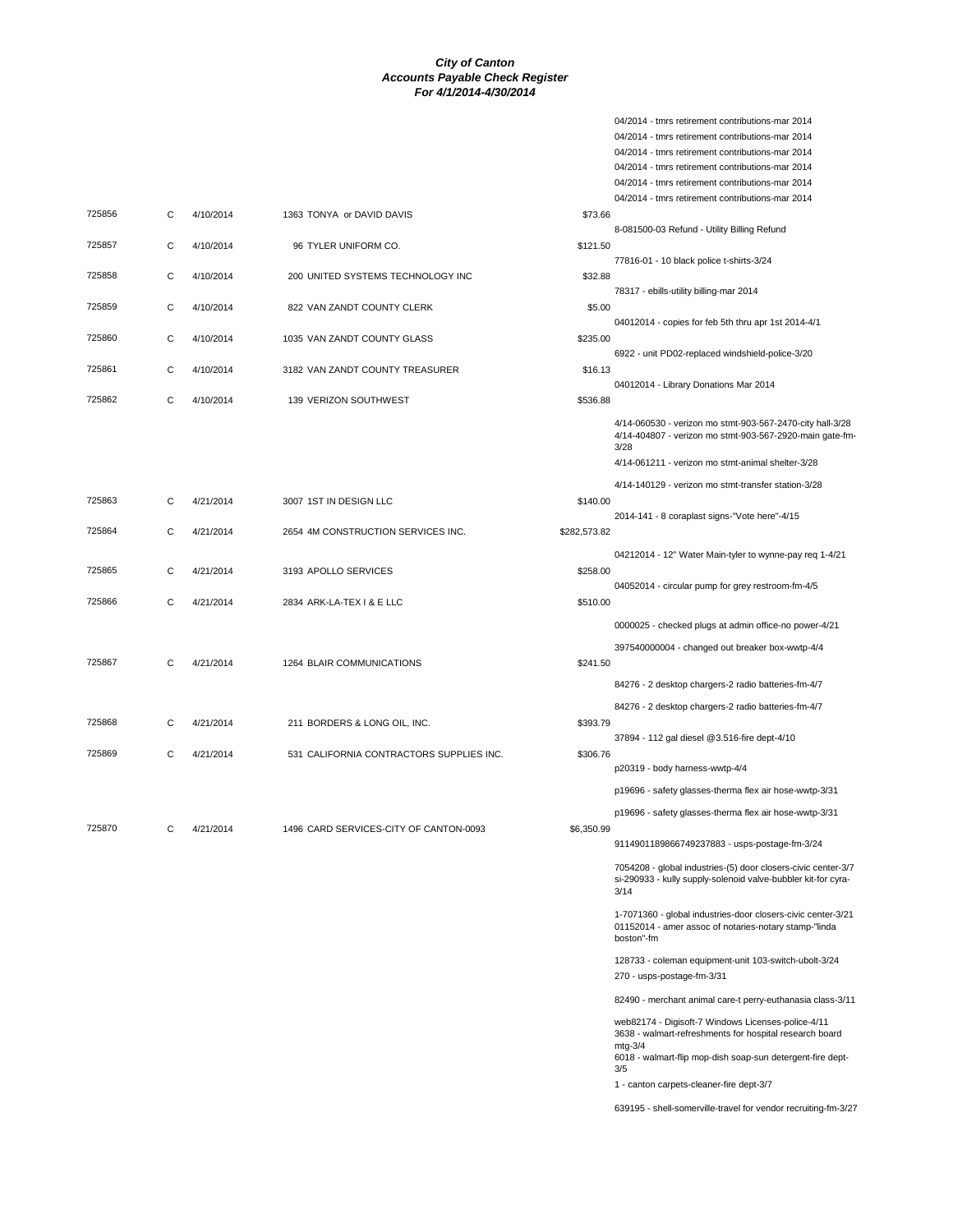|        |   |           |                                          |              | 04/2014 - tmrs retirement contributions-mar 2014<br>04/2014 - tmrs retirement contributions-mar 2014<br>04/2014 - tmrs retirement contributions-mar 2014<br>04/2014 - tmrs retirement contributions-mar 2014<br>04/2014 - tmrs retirement contributions-mar 2014 |
|--------|---|-----------|------------------------------------------|--------------|------------------------------------------------------------------------------------------------------------------------------------------------------------------------------------------------------------------------------------------------------------------|
| 725856 | С | 4/10/2014 | 1363 TONYA or DAVID DAVIS                | \$73.66      |                                                                                                                                                                                                                                                                  |
| 725857 | С | 4/10/2014 | 96 TYLER UNIFORM CO.                     | \$121.50     | 8-081500-03 Refund - Utility Billing Refund                                                                                                                                                                                                                      |
| 725858 | С | 4/10/2014 | 200 UNITED SYSTEMS TECHNOLOGY INC        | \$32.88      | 77816-01 - 10 black police t-shirts-3/24                                                                                                                                                                                                                         |
| 725859 | С | 4/10/2014 | 822 VAN ZANDT COUNTY CLERK               | \$5.00       | 78317 - ebills-utility billing-mar 2014                                                                                                                                                                                                                          |
| 725860 | C | 4/10/2014 | 1035 VAN ZANDT COUNTY GLASS              | \$235.00     | 04012014 - copies for feb 5th thru apr 1st 2014-4/1                                                                                                                                                                                                              |
| 725861 | С | 4/10/2014 | 3182 VAN ZANDT COUNTY TREASURER          | \$16.13      | 6922 - unit PD02-replaced windshield-police-3/20                                                                                                                                                                                                                 |
| 725862 | С | 4/10/2014 | 139 VERIZON SOUTHWEST                    | \$536.88     | 04012014 - Library Donations Mar 2014                                                                                                                                                                                                                            |
|        |   |           |                                          |              | 4/14-060530 - verizon mo stmt-903-567-2470-city hall-3/28<br>4/14-404807 - verizon mo stmt-903-567-2920-main gate-fm-<br>3/28                                                                                                                                    |
|        |   |           |                                          |              | 4/14-061211 - verizon mo stmt-animal shelter-3/28<br>4/14-140129 - verizon mo stmt-transfer station-3/28                                                                                                                                                         |
| 725863 | С | 4/21/2014 | 3007 1ST IN DESIGN LLC                   | \$140.00     |                                                                                                                                                                                                                                                                  |
| 725864 | С | 4/21/2014 | 2654 4M CONSTRUCTION SERVICES INC.       | \$282,573.82 | 2014-141 - 8 coraplast signs-"Vote here"-4/15                                                                                                                                                                                                                    |
| 725865 | С | 4/21/2014 | 3193 APOLLO SERVICES                     | \$258.00     | 04212014 - 12" Water Main-tyler to wynne-pay req 1-4/21                                                                                                                                                                                                          |
| 725866 | С | 4/21/2014 | 2834 ARK-LA-TEX I & E LLC                | \$510.00     | 04052014 - circular pump for grey restroom-fm-4/5                                                                                                                                                                                                                |
|        |   |           |                                          |              | 0000025 - checked plugs at admin office-no power-4/21                                                                                                                                                                                                            |
| 725867 | С | 4/21/2014 | 1264 BLAIR COMMUNICATIONS                | \$241.50     | 397540000004 - changed out breaker box-wwtp-4/4                                                                                                                                                                                                                  |
|        |   |           |                                          |              | 84276 - 2 desktop chargers-2 radio batteries-fm-4/7                                                                                                                                                                                                              |
| 725868 | С | 4/21/2014 | 211 BORDERS & LONG OIL, INC.             | \$393.79     | 84276 - 2 desktop chargers-2 radio batteries-fm-4/7                                                                                                                                                                                                              |
|        |   |           |                                          |              | 37894 - 112 gal diesel @3.516-fire dept-4/10                                                                                                                                                                                                                     |
| 725869 | С | 4/21/2014 | 531 CALIFORNIA CONTRACTORS SUPPLIES INC. | \$306.76     | p20319 - body harness-wwtp-4/4                                                                                                                                                                                                                                   |
|        |   |           |                                          |              | p19696 - safety glasses-therma flex air hose-wwtp-3/31                                                                                                                                                                                                           |
| 725870 |   | 4/21/2014 | 1496 CARD SERVICES-CITY OF CANTON-0093   | \$6,350.99   | p19696 - safety glasses-therma flex air hose-wwtp-3/31                                                                                                                                                                                                           |
|        |   |           |                                          |              | 9114901189866749237883 - usps-postage-fm-3/24                                                                                                                                                                                                                    |
|        |   |           |                                          |              | 7054208 - global industries-(5) door closers-civic center-3/7<br>si-290933 - kully supply-solenoid valve-bubbler kit-for cyra-<br>3/14                                                                                                                           |
|        |   |           |                                          |              | 1-7071360 - global industries-door closers-civic center-3/21<br>01152014 - amer assoc of notaries-notary stamp-"linda<br>boston"-fm                                                                                                                              |
|        |   |           |                                          |              | 128733 - coleman equipment-unit 103-switch-ubolt-3/24<br>270 - usps-postage-fm-3/31                                                                                                                                                                              |
|        |   |           |                                          |              | 82490 - merchant animal care-t perry-euthanasia class-3/11                                                                                                                                                                                                       |
|        |   |           |                                          |              | web82174 - Digisoft-7 Windows Licenses-police-4/11<br>3638 - walmart-refreshments for hospital research board<br>$mtg-3/4$                                                                                                                                       |
|        |   |           |                                          |              | 6018 - walmart-flip mop-dish soap-sun detergent-fire dept-<br>3/5                                                                                                                                                                                                |

1 - canton carpets-cleaner-fire dept-3/7

04/2014 - tmrs retirement contributions-mar 2014

639195 - shell-somerville-travel for vendor recruiting-fm-3/27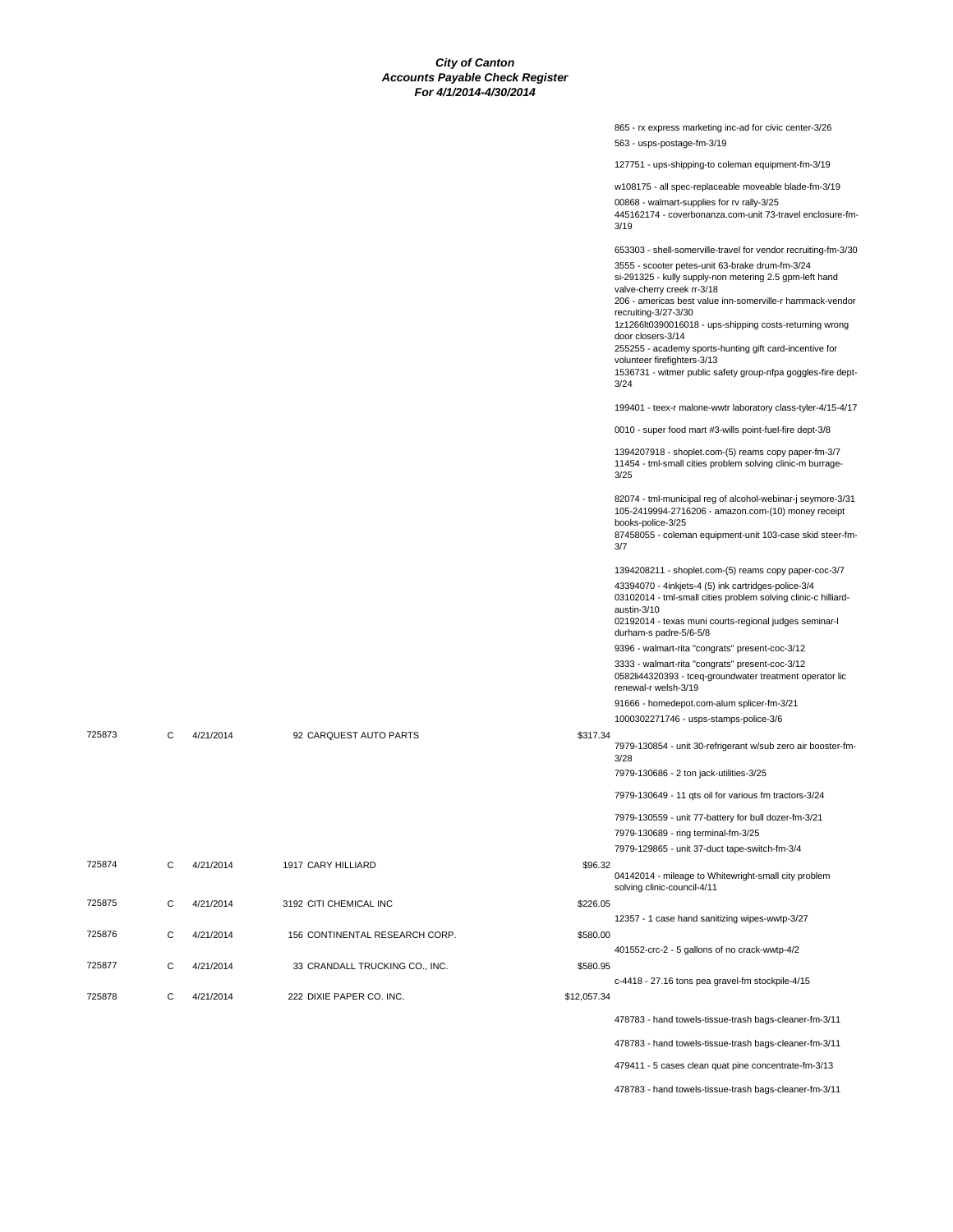|        |   |           |                                |             | 865 - rx express marketing inc-ad for civic center-3/26<br>563 - usps-postage-fm-3/19                                                                                                                                                                                                                                                                                                                                                                                                                                                             |
|--------|---|-----------|--------------------------------|-------------|---------------------------------------------------------------------------------------------------------------------------------------------------------------------------------------------------------------------------------------------------------------------------------------------------------------------------------------------------------------------------------------------------------------------------------------------------------------------------------------------------------------------------------------------------|
|        |   |           |                                |             | 127751 - ups-shipping-to coleman equipment-fm-3/19                                                                                                                                                                                                                                                                                                                                                                                                                                                                                                |
|        |   |           |                                |             | w108175 - all spec-replaceable moveable blade-fm-3/19<br>00868 - walmart-supplies for rv rally-3/25<br>445162174 - coverbonanza.com-unit 73-travel enclosure-fm-<br>3/19                                                                                                                                                                                                                                                                                                                                                                          |
|        |   |           |                                |             | 653303 - shell-somerville-travel for vendor recruiting-fm-3/30<br>3555 - scooter petes-unit 63-brake drum-fm-3/24<br>si-291325 - kully supply-non metering 2.5 gpm-left hand<br>valve-cherry creek rr-3/18<br>206 - americas best value inn-somerville-r hammack-vendor<br>recruiting-3/27-3/30<br>1z1266lt0390016018 - ups-shipping costs-returning wrong<br>door closers-3/14<br>255255 - academy sports-hunting gift card-incentive for<br>volunteer firefighters-3/13<br>1536731 - witmer public safety group-nfpa goggles-fire dept-<br>3/24 |
|        |   |           |                                |             | 199401 - teex-r malone-wwtr laboratory class-tyler-4/15-4/17                                                                                                                                                                                                                                                                                                                                                                                                                                                                                      |
|        |   |           |                                |             | 0010 - super food mart #3-wills point-fuel-fire dept-3/8                                                                                                                                                                                                                                                                                                                                                                                                                                                                                          |
|        |   |           |                                |             | 1394207918 - shoplet.com-(5) reams copy paper-fm-3/7<br>11454 - tml-small cities problem solving clinic-m burrage-<br>3/25                                                                                                                                                                                                                                                                                                                                                                                                                        |
|        |   |           |                                |             | 82074 - tml-municipal reg of alcohol-webinar-j seymore-3/31<br>105-2419994-2716206 - amazon.com-(10) money receipt<br>books-police-3/25<br>87458055 - coleman equipment-unit 103-case skid steer-fm-<br>3/7                                                                                                                                                                                                                                                                                                                                       |
|        |   |           |                                |             | 1394208211 - shoplet.com-(5) reams copy paper-coc-3/7<br>43394070 - 4inkjets-4 (5) ink cartridges-police-3/4<br>03102014 - tml-small cities problem solving clinic-c hilliard-<br>austin-3/10<br>02192014 - texas muni courts-regional judges seminar-l<br>durham-s padre-5/6-5/8                                                                                                                                                                                                                                                                 |
|        |   |           |                                |             | 9396 - walmart-rita "congrats" present-coc-3/12                                                                                                                                                                                                                                                                                                                                                                                                                                                                                                   |
|        |   |           |                                |             | 3333 - walmart-rita "congrats" present-coc-3/12<br>0582li44320393 - tceq-groundwater treatment operator lic<br>renewal-r welsh-3/19                                                                                                                                                                                                                                                                                                                                                                                                               |
|        |   |           |                                |             | 91666 - homedepot.com-alum splicer-fm-3/21<br>1000302271746 - usps-stamps-police-3/6                                                                                                                                                                                                                                                                                                                                                                                                                                                              |
| 725873 | C | 4/21/2014 | 92 CARQUEST AUTO PARTS         | \$317.34    | 7979-130854 - unit 30-refrigerant w/sub zero air booster-fm-<br>3/28                                                                                                                                                                                                                                                                                                                                                                                                                                                                              |
|        |   |           |                                |             | 7979-130686 - 2 ton jack-utilities-3/25                                                                                                                                                                                                                                                                                                                                                                                                                                                                                                           |
|        |   |           |                                |             | 7979-130649 - 11 qts oil for various fm tractors-3/24                                                                                                                                                                                                                                                                                                                                                                                                                                                                                             |
|        |   |           |                                |             | 7979-130559 - unit 77-battery for bull dozer-fm-3/21                                                                                                                                                                                                                                                                                                                                                                                                                                                                                              |
|        |   |           |                                |             | 7979-130689 - ring terminal-fm-3/25<br>7979-129865 - unit 37-duct tape-switch-fm-3/4                                                                                                                                                                                                                                                                                                                                                                                                                                                              |
| 725874 | C | 4/21/2014 | 1917 CARY HILLIARD             | \$96.32     | 04142014 - mileage to Whitewright-small city problem<br>solving clinic-council-4/11                                                                                                                                                                                                                                                                                                                                                                                                                                                               |
| 725875 | С | 4/21/2014 | 3192 CITI CHEMICAL INC         | \$226.05    |                                                                                                                                                                                                                                                                                                                                                                                                                                                                                                                                                   |
| 725876 | С | 4/21/2014 | 156 CONTINENTAL RESEARCH CORP. | \$580.00    | 12357 - 1 case hand sanitizing wipes-wwtp-3/27<br>401552-crc-2 - 5 gallons of no crack-wwtp-4/2                                                                                                                                                                                                                                                                                                                                                                                                                                                   |
| 725877 | С | 4/21/2014 | 33 CRANDALL TRUCKING CO., INC. | \$580.95    |                                                                                                                                                                                                                                                                                                                                                                                                                                                                                                                                                   |
|        |   |           |                                |             | c-4418 - 27.16 tons pea gravel-fm stockpile-4/15                                                                                                                                                                                                                                                                                                                                                                                                                                                                                                  |
| 725878 | С | 4/21/2014 | 222 DIXIE PAPER CO. INC.       | \$12,057.34 | 478783 - hand towels-tissue-trash bags-cleaner-fm-3/11                                                                                                                                                                                                                                                                                                                                                                                                                                                                                            |
|        |   |           |                                |             | 478783 - hand towels-tissue-trash bags-cleaner-fm-3/11                                                                                                                                                                                                                                                                                                                                                                                                                                                                                            |
|        |   |           |                                |             | 479411 - 5 cases clean quat pine concentrate-fm-3/13                                                                                                                                                                                                                                                                                                                                                                                                                                                                                              |
|        |   |           |                                |             | 478783 - hand towels-tissue-trash bags-cleaner-fm-3/11                                                                                                                                                                                                                                                                                                                                                                                                                                                                                            |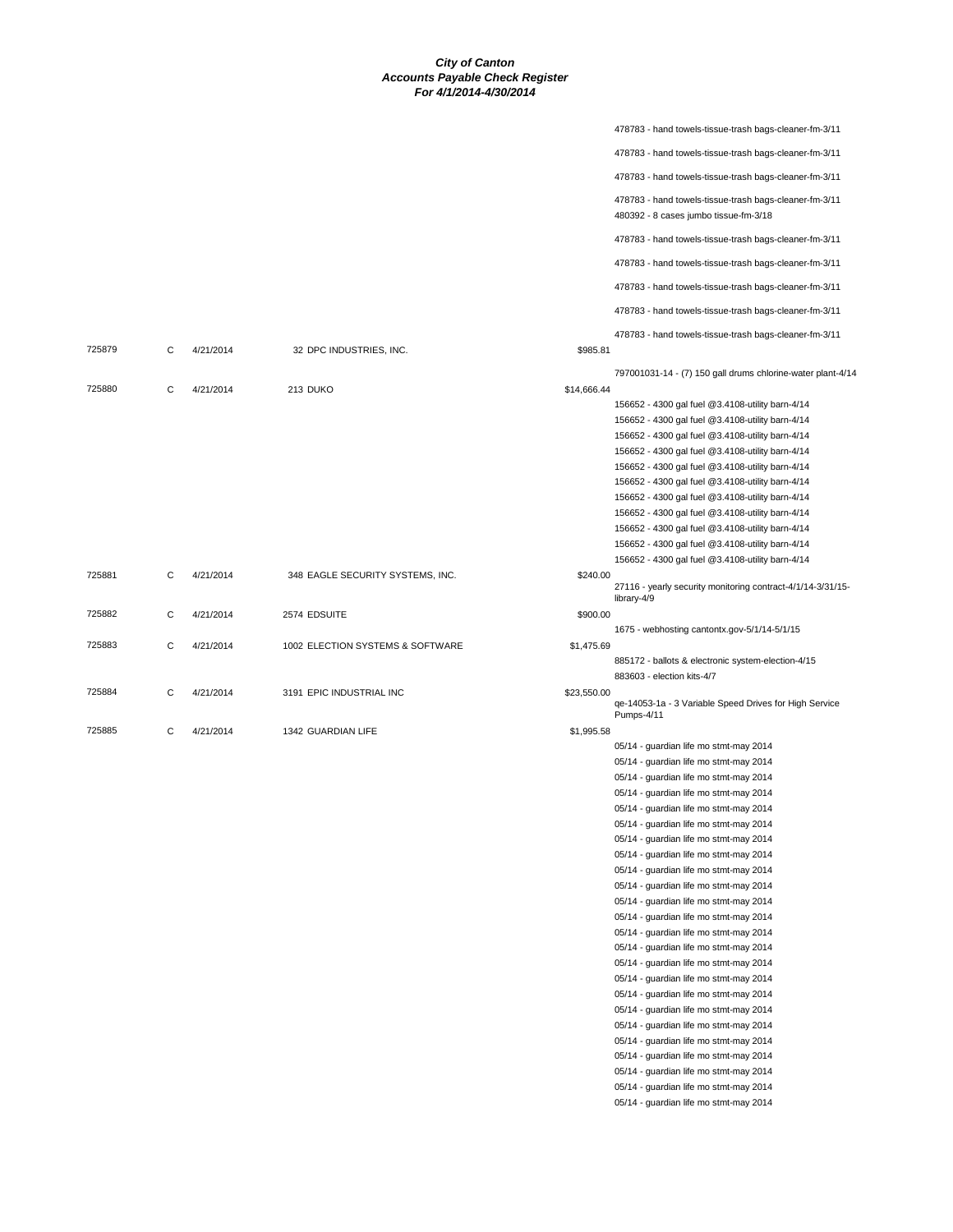|        |   |           |                                  |             | 478783 - hand towels-tissue-trash bags-cleaner-fm-3/11                           |
|--------|---|-----------|----------------------------------|-------------|----------------------------------------------------------------------------------|
|        |   |           |                                  |             | 478783 - hand towels-tissue-trash bags-cleaner-fm-3/11                           |
|        |   |           |                                  |             | 478783 - hand towels-tissue-trash bags-cleaner-fm-3/11                           |
|        |   |           |                                  |             | 478783 - hand towels-tissue-trash bags-cleaner-fm-3/11                           |
|        |   |           |                                  |             | 480392 - 8 cases jumbo tissue-fm-3/18                                            |
|        |   |           |                                  |             | 478783 - hand towels-tissue-trash bags-cleaner-fm-3/11                           |
|        |   |           |                                  |             | 478783 - hand towels-tissue-trash bags-cleaner-fm-3/11                           |
|        |   |           |                                  |             | 478783 - hand towels-tissue-trash bags-cleaner-fm-3/11                           |
|        |   |           |                                  |             | 478783 - hand towels-tissue-trash bags-cleaner-fm-3/11                           |
|        |   |           |                                  |             | 478783 - hand towels-tissue-trash bags-cleaner-fm-3/11                           |
| 725879 | C | 4/21/2014 | 32 DPC INDUSTRIES, INC.          | \$985.81    |                                                                                  |
|        |   |           |                                  |             | 797001031-14 - (7) 150 gall drums chlorine-water plant-4/14                      |
| 725880 | С | 4/21/2014 | 213 DUKO                         | \$14,666.44 |                                                                                  |
|        |   |           |                                  |             | 156652 - 4300 gal fuel @3.4108-utility barn-4/14                                 |
|        |   |           |                                  |             | 156652 - 4300 gal fuel @3.4108-utility barn-4/14                                 |
|        |   |           |                                  |             | 156652 - 4300 gal fuel @3.4108-utility barn-4/14                                 |
|        |   |           |                                  |             | 156652 - 4300 gal fuel @3.4108-utility barn-4/14                                 |
|        |   |           |                                  |             | 156652 - 4300 gal fuel @3.4108-utility barn-4/14                                 |
|        |   |           |                                  |             | 156652 - 4300 gal fuel @3.4108-utility barn-4/14                                 |
|        |   |           |                                  |             | 156652 - 4300 gal fuel @3.4108-utility barn-4/14                                 |
|        |   |           |                                  |             | 156652 - 4300 gal fuel @3.4108-utility barn-4/14                                 |
|        |   |           |                                  |             | 156652 - 4300 gal fuel @3.4108-utility barn-4/14                                 |
|        |   |           |                                  |             | 156652 - 4300 gal fuel @3.4108-utility barn-4/14                                 |
|        |   |           |                                  |             | 156652 - 4300 gal fuel @3.4108-utility barn-4/14                                 |
| 725881 | C | 4/21/2014 | 348 EAGLE SECURITY SYSTEMS, INC. | \$240.00    |                                                                                  |
|        |   |           |                                  |             | 27116 - yearly security monitoring contract-4/1/14-3/31/15-<br>library-4/9       |
| 725882 | С | 4/21/2014 | 2574 EDSUITE                     | \$900.00    |                                                                                  |
|        |   |           |                                  |             | 1675 - webhosting cantontx.gov-5/1/14-5/1/15                                     |
| 725883 | C | 4/21/2014 | 1002 ELECTION SYSTEMS & SOFTWARE | \$1,475.69  |                                                                                  |
|        |   |           |                                  |             | 885172 - ballots & electronic system-election-4/15<br>883603 - election kits-4/7 |
| 725884 | С | 4/21/2014 | 3191 EPIC INDUSTRIAL INC         | \$23,550.00 |                                                                                  |
|        |   |           |                                  |             | qe-14053-1a - 3 Variable Speed Drives for High Service<br>Pumps-4/11             |
| 725885 | C | 4/21/2014 | 1342 GUARDIAN LIFE               | \$1,995.58  |                                                                                  |
|        |   |           |                                  |             | 05/14 - guardian life mo stmt-may 2014                                           |
|        |   |           |                                  |             | 05/14 - guardian life mo stmt-may 2014                                           |
|        |   |           |                                  |             | 05/14 - guardian life mo stmt-may 2014                                           |
|        |   |           |                                  |             | 05/14 - guardian life mo stmt-may 2014                                           |
|        |   |           |                                  |             | 05/14 - guardian life mo stmt-may 2014                                           |
|        |   |           |                                  |             | 05/14 - guardian life mo stmt-may 2014                                           |
|        |   |           |                                  |             | 05/14 - guardian life mo stmt-may 2014                                           |
|        |   |           |                                  |             | 05/14 - guardian life mo stmt-may 2014                                           |
|        |   |           |                                  |             | 05/14 - guardian life mo stmt-may 2014                                           |
|        |   |           |                                  |             | 05/14 - guardian life mo stmt-may 2014                                           |
|        |   |           |                                  |             | 05/14 - guardian life mo stmt-may 2014                                           |
|        |   |           |                                  |             | 05/14 - guardian life mo stmt-may 2014                                           |
|        |   |           |                                  |             | 05/14 - guardian life mo stmt-may 2014                                           |
|        |   |           |                                  |             | 05/14 - guardian life mo stmt-may 2014                                           |
|        |   |           |                                  |             | 05/14 - guardian life mo stmt-may 2014                                           |
|        |   |           |                                  |             | 05/14 - guardian life mo stmt-may 2014                                           |
|        |   |           |                                  |             | 05/14 - guardian life mo stmt-may 2014                                           |
|        |   |           |                                  |             | 05/14 - guardian life mo stmt-may 2014                                           |
|        |   |           |                                  |             | 05/14 - guardian life mo stmt-may 2014                                           |
|        |   |           |                                  |             | 05/14 - guardian life mo stmt-may 2014                                           |
|        |   |           |                                  |             | 05/14 - guardian life mo stmt-may 2014                                           |
|        |   |           |                                  |             | 05/14 - guardian life mo stmt-may 2014                                           |
|        |   |           |                                  |             | 05/14 - guardian life mo stmt-may 2014                                           |
|        |   |           |                                  |             | 05/14 - guardian life mo stmt-may 2014                                           |
|        |   |           |                                  |             |                                                                                  |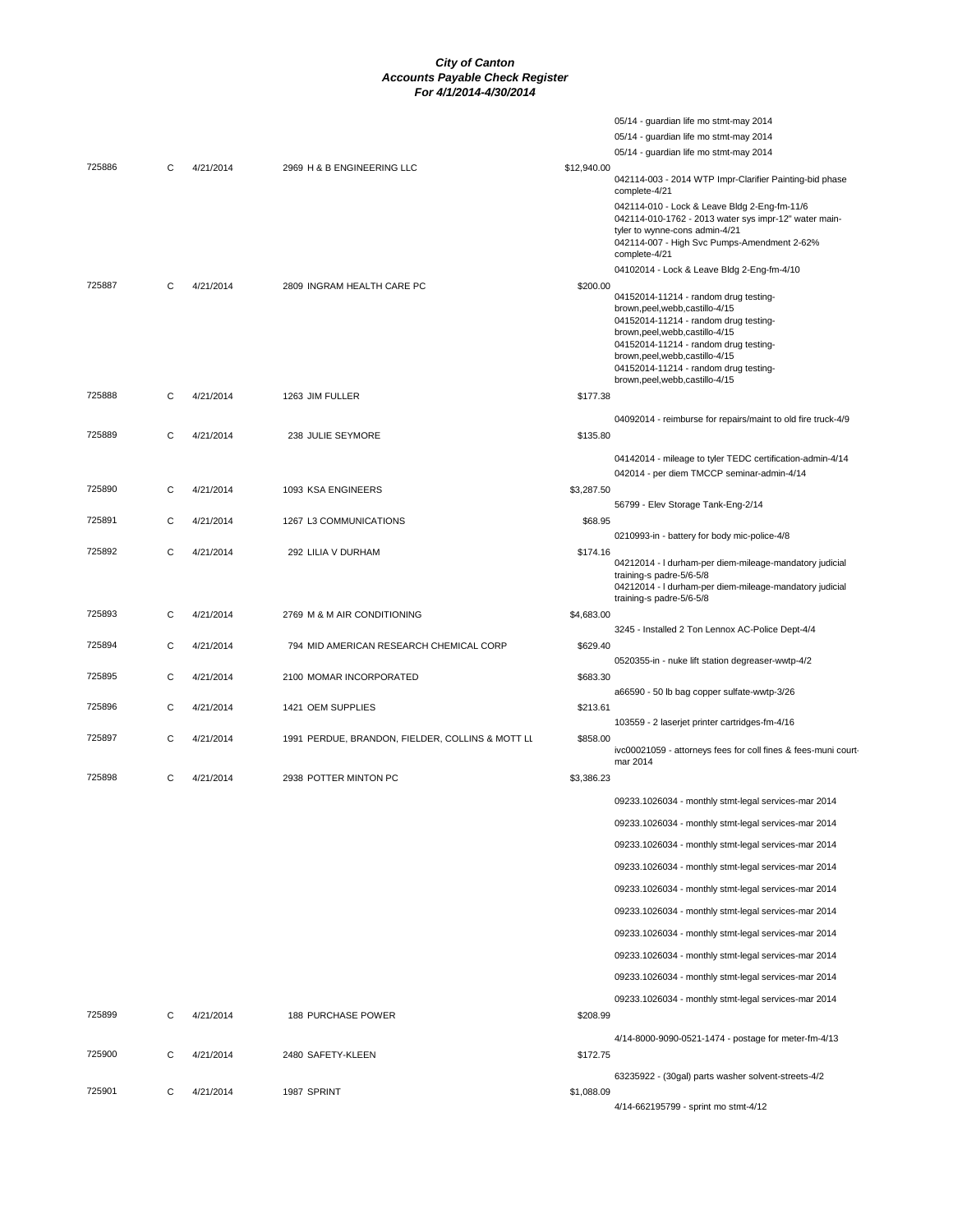|        |   |           |                                                  |             | 05/14 - guardian life mo stmt-may 2014                                                                                                  |
|--------|---|-----------|--------------------------------------------------|-------------|-----------------------------------------------------------------------------------------------------------------------------------------|
|        |   |           |                                                  |             | 05/14 - guardian life mo stmt-may 2014                                                                                                  |
|        |   |           |                                                  |             | 05/14 - guardian life mo stmt-may 2014                                                                                                  |
| 725886 | C | 4/21/2014 | 2969 H & B ENGINEERING LLC                       | \$12,940.00 | 042114-003 - 2014 WTP Impr-Clarifier Painting-bid phase<br>complete-4/21                                                                |
|        |   |           |                                                  |             | 042114-010 - Lock & Leave Bldg 2-Eng-fm-11/6<br>042114-010-1762 - 2013 water sys impr-12" water main-<br>tyler to wynne-cons admin-4/21 |
|        |   |           |                                                  |             | 042114-007 - High Svc Pumps-Amendment 2-62%<br>complete-4/21                                                                            |
|        |   |           |                                                  |             | 04102014 - Lock & Leave Bldg 2-Eng-fm-4/10                                                                                              |
| 725887 | C | 4/21/2014 | 2809 INGRAM HEALTH CARE PC                       | \$200.00    | 04152014-11214 - random drug testing-                                                                                                   |
|        |   |           |                                                  |             | brown, peel, webb, castillo-4/15<br>04152014-11214 - random drug testing-                                                               |
|        |   |           |                                                  |             | brown, peel, webb, castillo-4/15                                                                                                        |
|        |   |           |                                                  |             | 04152014-11214 - random drug testing-<br>brown, peel, webb, castillo-4/15                                                               |
|        |   |           |                                                  |             | 04152014-11214 - random drug testing-                                                                                                   |
| 725888 | C | 4/21/2014 | 1263 JIM FULLER                                  | \$177.38    | brown, peel, webb, castillo-4/15                                                                                                        |
|        |   |           |                                                  |             |                                                                                                                                         |
| 725889 | C | 4/21/2014 | 238 JULIE SEYMORE                                | \$135.80    | 04092014 - reimburse for repairs/maint to old fire truck-4/9                                                                            |
|        |   |           |                                                  |             |                                                                                                                                         |
|        |   |           |                                                  |             | 04142014 - mileage to tyler TEDC certification-admin-4/14<br>042014 - per diem TMCCP seminar-admin-4/14                                 |
| 725890 | C | 4/21/2014 | 1093 KSA ENGINEERS                               | \$3,287.50  |                                                                                                                                         |
|        |   |           |                                                  |             | 56799 - Elev Storage Tank-Eng-2/14                                                                                                      |
| 725891 | С | 4/21/2014 | 1267 L3 COMMUNICATIONS                           | \$68.95     |                                                                                                                                         |
| 725892 | C | 4/21/2014 | 292 LILIA V DURHAM                               | \$174.16    | 0210993-in - battery for body mic-police-4/8                                                                                            |
|        |   |           |                                                  |             | 04212014 - I durham-per diem-mileage-mandatory judicial                                                                                 |
|        |   |           |                                                  |             | training-s padre-5/6-5/8<br>04212014 - I durham-per diem-mileage-mandatory judicial                                                     |
|        |   |           |                                                  |             | training-s padre-5/6-5/8                                                                                                                |
| 725893 | C | 4/21/2014 | 2769 M & M AIR CONDITIONING                      | \$4,683.00  |                                                                                                                                         |
| 725894 | C | 4/21/2014 | 794 MID AMERICAN RESEARCH CHEMICAL CORP          | \$629.40    | 3245 - Installed 2 Ton Lennox AC-Police Dept-4/4                                                                                        |
|        |   |           |                                                  |             | 0520355-in - nuke lift station degreaser-wwtp-4/2                                                                                       |
| 725895 | C | 4/21/2014 | 2100 MOMAR INCORPORATED                          | \$683.30    |                                                                                                                                         |
| 725896 | C | 4/21/2014 | 1421 OEM SUPPLIES                                | \$213.61    | a66590 - 50 lb bag copper sulfate-wwtp-3/26                                                                                             |
|        |   |           |                                                  |             | 103559 - 2 laserjet printer cartridges-fm-4/16                                                                                          |
| 725897 | С | 4/21/2014 | 1991 PERDUE, BRANDON, FIELDER, COLLINS & MOTT LL | \$858.00    |                                                                                                                                         |
|        |   |           |                                                  |             | ivc00021059 - attorneys fees for coll fines & fees-muni court-<br>mar 2014                                                              |
| 725898 | C | 4/21/2014 | 2938 POTTER MINTON PC                            | \$3,386.23  |                                                                                                                                         |
|        |   |           |                                                  |             | 09233.1026034 - monthly stmt-legal services-mar 2014                                                                                    |
|        |   |           |                                                  |             | 09233.1026034 - monthly stmt-legal services-mar 2014                                                                                    |
|        |   |           |                                                  |             | 09233.1026034 - monthly stmt-legal services-mar 2014                                                                                    |
|        |   |           |                                                  |             | 09233.1026034 - monthly stmt-legal services-mar 2014                                                                                    |
|        |   |           |                                                  |             | 09233.1026034 - monthly stmt-legal services-mar 2014                                                                                    |
|        |   |           |                                                  |             |                                                                                                                                         |
|        |   |           |                                                  |             | 09233.1026034 - monthly stmt-legal services-mar 2014                                                                                    |
|        |   |           |                                                  |             | 09233.1026034 - monthly stmt-legal services-mar 2014                                                                                    |
|        |   |           |                                                  |             | 09233.1026034 - monthly stmt-legal services-mar 2014                                                                                    |
|        |   |           |                                                  |             | 09233.1026034 - monthly stmt-legal services-mar 2014                                                                                    |
|        |   |           |                                                  |             | 09233.1026034 - monthly stmt-legal services-mar 2014                                                                                    |
| 725899 | С | 4/21/2014 | <b>188 PURCHASE POWER</b>                        | \$208.99    |                                                                                                                                         |
|        |   |           |                                                  |             | 4/14-8000-9090-0521-1474 - postage for meter-fm-4/13                                                                                    |
| 725900 | С | 4/21/2014 | 2480 SAFETY-KLEEN                                | \$172.75    |                                                                                                                                         |
|        |   |           |                                                  |             | 63235922 - (30gal) parts washer solvent-streets-4/2                                                                                     |
| 725901 | C | 4/21/2014 | 1987 SPRINT                                      | \$1,088.09  |                                                                                                                                         |
|        |   |           |                                                  |             | 4/14-662195799 - sprint mo stmt-4/12                                                                                                    |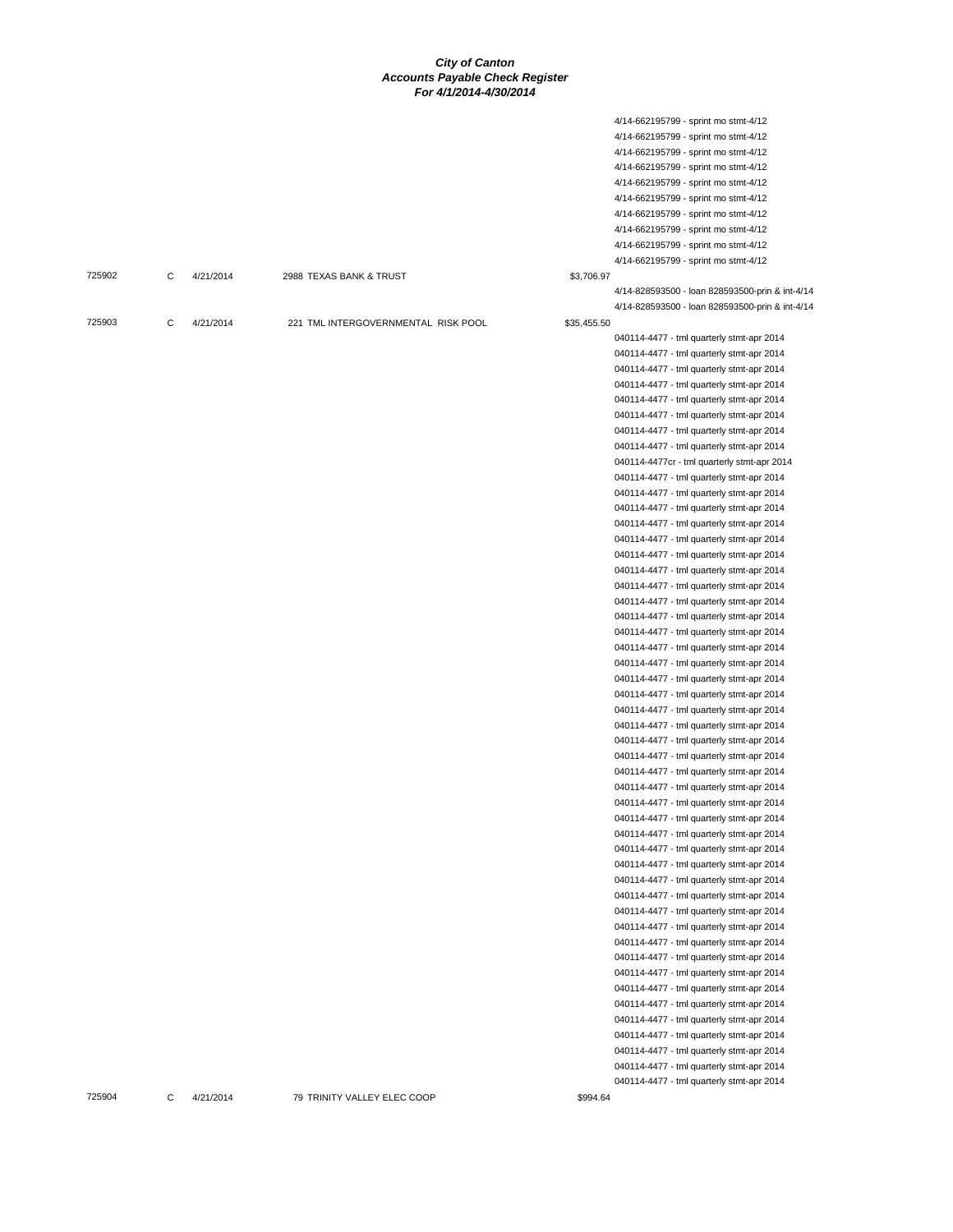4/14-662195799 - sprint mo stmt-4/12

| 725904 | С | 4/21/2014 | 79 TRINITY VALLEY ELEC COOP         | \$994.64    |                                                 |
|--------|---|-----------|-------------------------------------|-------------|-------------------------------------------------|
|        |   |           |                                     |             | 040114-4477 - tml quarterly stmt-apr 2014       |
|        |   |           |                                     |             | 040114-4477 - tml quarterly stmt-apr 2014       |
|        |   |           |                                     |             | 040114-4477 - tml quarterly stmt-apr 2014       |
|        |   |           |                                     |             | 040114-4477 - tml quarterly stmt-apr 2014       |
|        |   |           |                                     |             | 040114-4477 - tml quarterly stmt-apr 2014       |
|        |   |           |                                     |             | 040114-4477 - tml quarterly stmt-apr 2014       |
|        |   |           |                                     |             | 040114-4477 - tml quarterly stmt-apr 2014       |
|        |   |           |                                     |             | 040114-4477 - tml quarterly stmt-apr 2014       |
|        |   |           |                                     |             | 040114-4477 - tml quarterly stmt-apr 2014       |
|        |   |           |                                     |             | 040114-4477 - tml quarterly stmt-apr 2014       |
|        |   |           |                                     |             | 040114-4477 - tml quarterly stmt-apr 2014       |
|        |   |           |                                     |             | 040114-4477 - tml quarterly stmt-apr 2014       |
|        |   |           |                                     |             | 040114-4477 - tml quarterly stmt-apr 2014       |
|        |   |           |                                     |             | 040114-4477 - tml quarterly stmt-apr 2014       |
|        |   |           |                                     |             | 040114-4477 - tml quarterly stmt-apr 2014       |
|        |   |           |                                     |             |                                                 |
|        |   |           |                                     |             | 040114-4477 - tml quarterly stmt-apr 2014       |
|        |   |           |                                     |             | 040114-4477 - tml quarterly stmt-apr 2014       |
|        |   |           |                                     |             | 040114-4477 - tml quarterly stmt-apr 2014       |
|        |   |           |                                     |             | 040114-4477 - tml quarterly stmt-apr 2014       |
|        |   |           |                                     |             | 040114-4477 - tml quarterly stmt-apr 2014       |
|        |   |           |                                     |             | 040114-4477 - tml quarterly stmt-apr 2014       |
|        |   |           |                                     |             | 040114-4477 - tml quarterly stmt-apr 2014       |
|        |   |           |                                     |             | 040114-4477 - tml quarterly stmt-apr 2014       |
|        |   |           |                                     |             | 040114-4477 - tml quarterly stmt-apr 2014       |
|        |   |           |                                     |             | 040114-4477 - tml quarterly stmt-apr 2014       |
|        |   |           |                                     |             | 040114-4477 - tml quarterly stmt-apr 2014       |
|        |   |           |                                     |             | 040114-4477 - tml quarterly stmt-apr 2014       |
|        |   |           |                                     |             | 040114-4477 - tml quarterly stmt-apr 2014       |
|        |   |           |                                     |             | 040114-4477 - tml quarterly stmt-apr 2014       |
|        |   |           |                                     |             | 040114-4477 - tml quarterly stmt-apr 2014       |
|        |   |           |                                     |             | 040114-4477 - tml quarterly stmt-apr 2014       |
|        |   |           |                                     |             | 040114-4477 - tml quarterly stmt-apr 2014       |
|        |   |           |                                     |             | 040114-4477 - tml quarterly stmt-apr 2014       |
|        |   |           |                                     |             | 040114-4477 - tml quarterly stmt-apr 2014       |
|        |   |           |                                     |             | 040114-4477 - tml quarterly stmt-apr 2014       |
|        |   |           |                                     |             | 040114-4477 - tml quarterly stmt-apr 2014       |
|        |   |           |                                     |             | 040114-4477 - tml quarterly stmt-apr 2014       |
|        |   |           |                                     |             | 040114-4477 - tml quarterly stmt-apr 2014       |
|        |   |           |                                     |             | 040114-4477 - tml quarterly stmt-apr 2014       |
|        |   |           |                                     |             | 040114-4477 - tml quarterly stmt-apr 2014       |
|        |   |           |                                     |             | 040114-4477cr - tml quarterly stmt-apr 2014     |
|        |   |           |                                     |             | 040114-4477 - tml quarterly stmt-apr 2014       |
|        |   |           |                                     |             |                                                 |
|        |   |           |                                     |             | 040114-4477 - tml quarterly stmt-apr 2014       |
|        |   |           |                                     |             | 040114-4477 - tml quarterly stmt-apr 2014       |
|        |   |           |                                     |             | 040114-4477 - tml quarterly stmt-apr 2014       |
|        |   |           |                                     |             | 040114-4477 - tml quarterly stmt-apr 2014       |
|        |   |           |                                     |             | 040114-4477 - tml quarterly stmt-apr 2014       |
|        |   |           |                                     |             | 040114-4477 - tml quarterly stmt-apr 2014       |
|        |   |           |                                     |             | 040114-4477 - tml quarterly stmt-apr 2014       |
| 725903 | C | 4/21/2014 | 221 TML INTERGOVERNMENTAL RISK POOL | \$35,455.50 |                                                 |
|        |   |           |                                     |             | 4/14-828593500 - Ioan 828593500-prin & int-4/14 |
|        |   |           |                                     |             | 4/14-828593500 - Ioan 828593500-prin & int-4/14 |
| 725902 | C | 4/21/2014 | 2988 TEXAS BANK & TRUST             | \$3,706.97  |                                                 |
|        |   |           |                                     |             | 4/14-662195799 - sprint mo stmt-4/12            |
|        |   |           |                                     |             | 4/14-662195799 - sprint mo stmt-4/12            |
|        |   |           |                                     |             | 4/14-662195799 - sprint mo stmt-4/12            |
|        |   |           |                                     |             | 4/14-662195799 - sprint mo stmt-4/12            |
|        |   |           |                                     |             | 4/14-662195799 - sprint mo stmt-4/12            |
|        |   |           |                                     |             | 4/14-662195799 - sprint mo stmt-4/12            |
|        |   |           |                                     |             | 4/14-662195799 - sprint mo stmt-4/12            |
|        |   |           |                                     |             | 4/14-662195799 - sprint mo stmt-4/12            |
|        |   |           |                                     |             | 4/14-662195799 - sprint mo stmt-4/12            |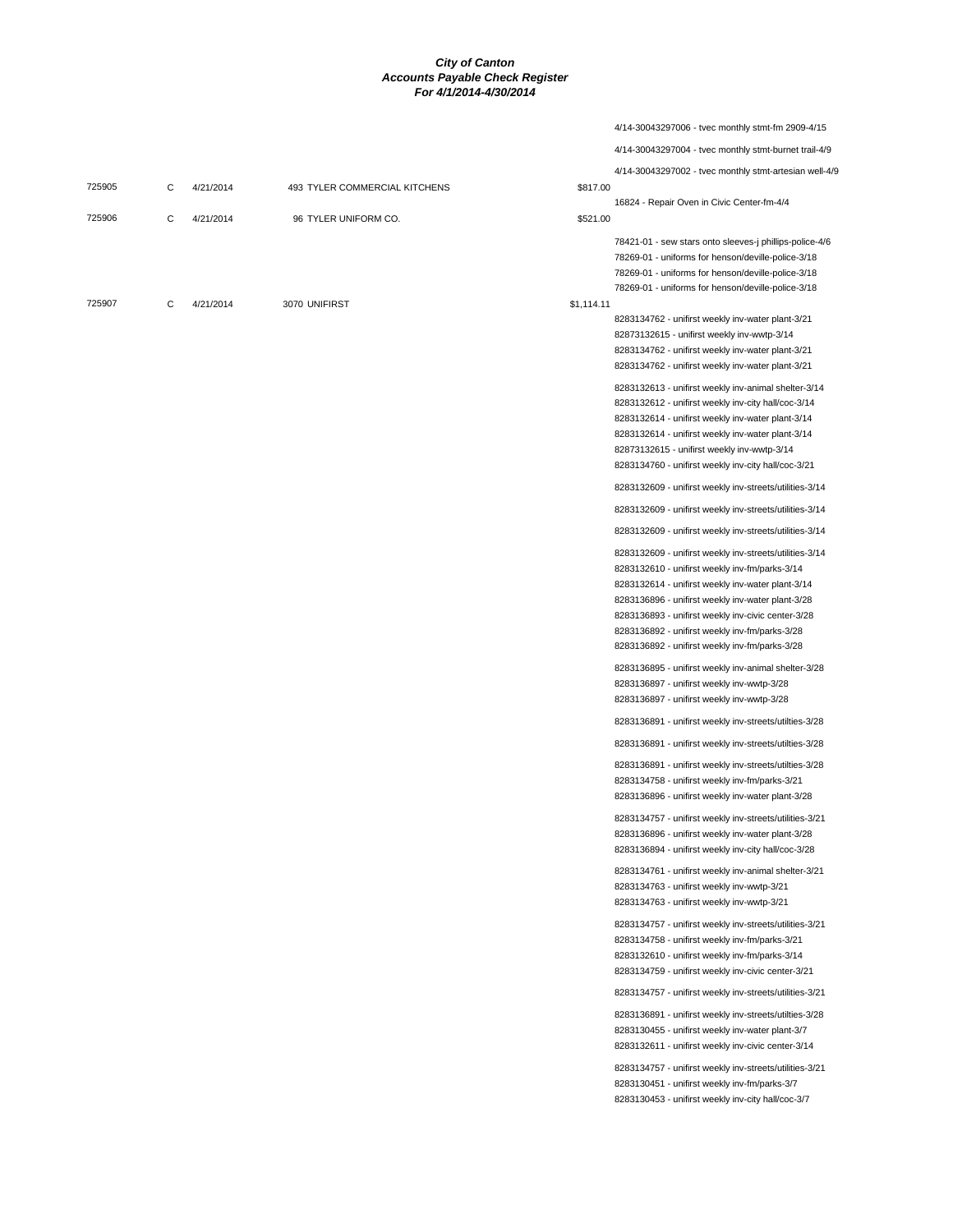|        |   |           |                               |            | 4/14-30043297006 - tvec monthly stmt-fm 2909-4/15                                                                                                                                                                                                                                                                                                                             |
|--------|---|-----------|-------------------------------|------------|-------------------------------------------------------------------------------------------------------------------------------------------------------------------------------------------------------------------------------------------------------------------------------------------------------------------------------------------------------------------------------|
|        |   |           |                               |            | 4/14-30043297004 - tvec monthly stmt-burnet trail-4/9                                                                                                                                                                                                                                                                                                                         |
| 725905 | C | 4/21/2014 | 493 TYLER COMMERCIAL KITCHENS | \$817.00   | 4/14-30043297002 - tvec monthly stmt-artesian well-4/9                                                                                                                                                                                                                                                                                                                        |
|        |   |           |                               |            | 16824 - Repair Oven in Civic Center-fm-4/4                                                                                                                                                                                                                                                                                                                                    |
| 725906 | C | 4/21/2014 | 96 TYLER UNIFORM CO.          | \$521.00   | 78421-01 - sew stars onto sleeves-j phillips-police-4/6<br>78269-01 - uniforms for henson/deville-police-3/18<br>78269-01 - uniforms for henson/deville-police-3/18<br>78269-01 - uniforms for henson/deville-police-3/18                                                                                                                                                     |
| 725907 | C | 4/21/2014 | 3070 UNIFIRST                 | \$1,114.11 | 8283134762 - unifirst weekly inv-water plant-3/21<br>82873132615 - unifirst weekly inv-wwtp-3/14<br>8283134762 - unifirst weekly inv-water plant-3/21<br>8283134762 - unifirst weekly inv-water plant-3/21                                                                                                                                                                    |
|        |   |           |                               |            | 8283132613 - unifirst weekly inv-animal shelter-3/14<br>8283132612 - unifirst weekly inv-city hall/coc-3/14<br>8283132614 - unifirst weekly inv-water plant-3/14<br>8283132614 - unifirst weekly inv-water plant-3/14<br>82873132615 - unifirst weekly inv-wwtp-3/14<br>8283134760 - unifirst weekly inv-city hall/coc-3/21                                                   |
|        |   |           |                               |            | 8283132609 - unifirst weekly inv-streets/utilities-3/14                                                                                                                                                                                                                                                                                                                       |
|        |   |           |                               |            | 8283132609 - unifirst weekly inv-streets/utilities-3/14                                                                                                                                                                                                                                                                                                                       |
|        |   |           |                               |            | 8283132609 - unifirst weekly inv-streets/utilities-3/14                                                                                                                                                                                                                                                                                                                       |
|        |   |           |                               |            | 8283132609 - unifirst weekly inv-streets/utilities-3/14<br>8283132610 - unifirst weekly inv-fm/parks-3/14<br>8283132614 - unifirst weekly inv-water plant-3/14<br>8283136896 - unifirst weekly inv-water plant-3/28<br>8283136893 - unifirst weekly inv-civic center-3/28<br>8283136892 - unifirst weekly inv-fm/parks-3/28<br>8283136892 - unifirst weekly inv-fm/parks-3/28 |
|        |   |           |                               |            | 8283136895 - unifirst weekly inv-animal shelter-3/28<br>8283136897 - unifirst weekly inv-wwtp-3/28<br>8283136897 - unifirst weekly inv-wwtp-3/28                                                                                                                                                                                                                              |
|        |   |           |                               |            | 8283136891 - unifirst weekly inv-streets/utilties-3/28                                                                                                                                                                                                                                                                                                                        |
|        |   |           |                               |            | 8283136891 - unifirst weekly inv-streets/utilties-3/28                                                                                                                                                                                                                                                                                                                        |
|        |   |           |                               |            | 8283136891 - unifirst weekly inv-streets/utilties-3/28<br>8283134758 - unifirst weekly inv-fm/parks-3/21<br>8283136896 - unifirst weekly inv-water plant-3/28                                                                                                                                                                                                                 |
|        |   |           |                               |            | 8283134757 - unifirst weekly inv-streets/utilities-3/21<br>8283136896 - unifirst weekly inv-water plant-3/28<br>8283136894 - unifirst weekly inv-city hall/coc-3/28                                                                                                                                                                                                           |
|        |   |           |                               |            | 8283134761 - unifirst weekly inv-animal shelter-3/21<br>8283134763 - unifirst weekly inv-wwtp-3/21<br>8283134763 - unifirst weekly inv-wwtp-3/21                                                                                                                                                                                                                              |
|        |   |           |                               |            | 8283134757 - unifirst weekly inv-streets/utilities-3/21<br>8283134758 - unifirst weekly inv-fm/parks-3/21<br>8283132610 - unifirst weekly inv-fm/parks-3/14<br>8283134759 - unifirst weekly inv-civic center-3/21                                                                                                                                                             |
|        |   |           |                               |            | 8283134757 - unifirst weekly inv-streets/utilities-3/21                                                                                                                                                                                                                                                                                                                       |
|        |   |           |                               |            | 8283136891 - unifirst weekly inv-streets/utilties-3/28<br>8283130455 - unifirst weekly inv-water plant-3/7<br>8283132611 - unifirst weekly inv-civic center-3/14                                                                                                                                                                                                              |
|        |   |           |                               |            | 8283134757 - unifirst weekly inv-streets/utilities-3/21<br>8283130451 - unifirst weekly inv-fm/parks-3/7<br>8283130453 - unifirst weekly inv-city hall/coc-3/7                                                                                                                                                                                                                |
|        |   |           |                               |            |                                                                                                                                                                                                                                                                                                                                                                               |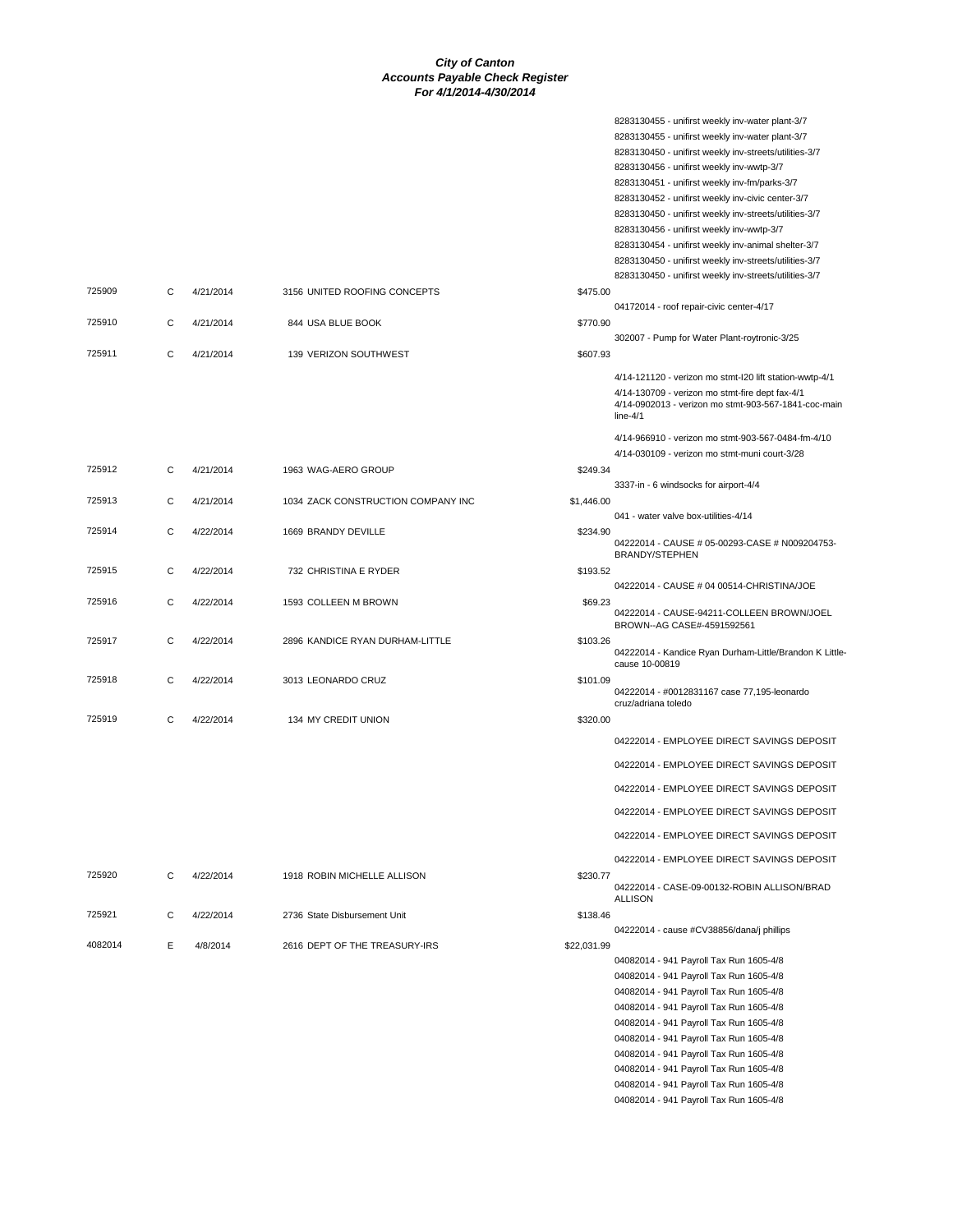|         |   |           |                                    |             | 8283130455 - unifirst weekly inv-water plant-3/7                          |
|---------|---|-----------|------------------------------------|-------------|---------------------------------------------------------------------------|
|         |   |           |                                    |             | 8283130455 - unifirst weekly inv-water plant-3/7                          |
|         |   |           |                                    |             | 8283130450 - unifirst weekly inv-streets/utilities-3/7                    |
|         |   |           |                                    |             | 8283130456 - unifirst weekly inv-wwtp-3/7                                 |
|         |   |           |                                    |             | 8283130451 - unifirst weekly inv-fm/parks-3/7                             |
|         |   |           |                                    |             | 8283130452 - unifirst weekly inv-civic center-3/7                         |
|         |   |           |                                    |             | 8283130450 - unifirst weekly inv-streets/utilities-3/7                    |
|         |   |           |                                    |             | 8283130456 - unifirst weekly inv-wwtp-3/7                                 |
|         |   |           |                                    |             | 8283130454 - unifirst weekly inv-animal shelter-3/7                       |
|         |   |           |                                    |             | 8283130450 - unifirst weekly inv-streets/utilities-3/7                    |
|         |   |           |                                    |             | 8283130450 - unifirst weekly inv-streets/utilities-3/7                    |
| 725909  | C | 4/21/2014 | 3156 UNITED ROOFING CONCEPTS       | \$475.00    |                                                                           |
|         |   |           |                                    |             | 04172014 - roof repair-civic center-4/17                                  |
| 725910  | C | 4/21/2014 | 844 USA BLUE BOOK                  | \$770.90    |                                                                           |
|         |   |           |                                    |             | 302007 - Pump for Water Plant-roytronic-3/25                              |
| 725911  | C | 4/21/2014 | 139 VERIZON SOUTHWEST              | \$607.93    |                                                                           |
|         |   |           |                                    |             |                                                                           |
|         |   |           |                                    |             | 4/14-121120 - verizon mo stmt-I20 lift station-wwtp-4/1                   |
|         |   |           |                                    |             | 4/14-130709 - verizon mo stmt-fire dept fax-4/1                           |
|         |   |           |                                    |             | 4/14-0902013 - verizon mo stmt-903-567-1841-coc-main<br>$line-4/1$        |
|         |   |           |                                    |             |                                                                           |
|         |   |           |                                    |             | 4/14-966910 - verizon mo stmt-903-567-0484-fm-4/10                        |
|         |   |           |                                    |             | 4/14-030109 - verizon mo stmt-muni court-3/28                             |
| 725912  | C | 4/21/2014 | 1963 WAG-AERO GROUP                | \$249.34    |                                                                           |
|         |   |           |                                    |             | 3337-in - 6 windsocks for airport-4/4                                     |
| 725913  | C | 4/21/2014 | 1034 ZACK CONSTRUCTION COMPANY INC | \$1,446.00  |                                                                           |
|         |   |           |                                    |             | 041 - water valve box-utilities-4/14                                      |
| 725914  | C | 4/22/2014 | 1669 BRANDY DEVILLE                | \$234.90    |                                                                           |
|         |   |           |                                    |             | 04222014 - CAUSE # 05-00293-CASE # N009204753-<br><b>BRANDY/STEPHEN</b>   |
| 725915  | C | 4/22/2014 | 732 CHRISTINA E RYDER              | \$193.52    |                                                                           |
|         |   |           |                                    |             | 04222014 - CAUSE # 04 00514-CHRISTINA/JOE                                 |
| 725916  | C | 4/22/2014 | 1593 COLLEEN M BROWN               | \$69.23     |                                                                           |
|         |   |           |                                    |             | 04222014 - CAUSE-94211-COLLEEN BROWN/JOEL                                 |
|         |   |           |                                    |             | BROWN--AG CASE#-4591592561                                                |
| 725917  | C | 4/22/2014 | 2896 KANDICE RYAN DURHAM-LITTLE    | \$103.26    |                                                                           |
|         |   |           |                                    |             | 04222014 - Kandice Ryan Durham-Little/Brandon K Little-<br>cause 10-00819 |
| 725918  | С |           |                                    |             |                                                                           |
|         |   | 4/22/2014 | 3013 LEONARDO CRUZ                 | \$101.09    | 04222014 - #0012831167 case 77,195-leonardo                               |
|         |   |           |                                    |             | cruz/adriana toledo                                                       |
| 725919  | C | 4/22/2014 | 134 MY CREDIT UNION                | \$320.00    |                                                                           |
|         |   |           |                                    |             | 04222014 - EMPLOYEE DIRECT SAVINGS DEPOSIT                                |
|         |   |           |                                    |             |                                                                           |
|         |   |           |                                    |             | 04222014 - EMPLOYEE DIRECT SAVINGS DEPOSIT                                |
|         |   |           |                                    |             | 04222014 - EMPLOYEE DIRECT SAVINGS DEPOSIT                                |
|         |   |           |                                    |             |                                                                           |
|         |   |           |                                    |             | 04222014 - EMPLOYEE DIRECT SAVINGS DEPOSIT                                |
|         |   |           |                                    |             |                                                                           |
|         |   |           |                                    |             | 04222014 - EMPLOYEE DIRECT SAVINGS DEPOSIT                                |
|         |   |           |                                    |             | 04222014 - EMPLOYEE DIRECT SAVINGS DEPOSIT                                |
| 725920  | C | 4/22/2014 | 1918 ROBIN MICHELLE ALLISON        | \$230.77    |                                                                           |
|         |   |           |                                    |             | 04222014 - CASE-09-00132-ROBIN ALLISON/BRAD                               |
|         |   |           |                                    |             | <b>ALLISON</b>                                                            |
| 725921  | C | 4/22/2014 | 2736 State Disbursement Unit       | \$138.46    |                                                                           |
|         |   |           |                                    |             | 04222014 - cause #CV38856/dana/j phillips                                 |
| 4082014 | E | 4/8/2014  | 2616 DEPT OF THE TREASURY-IRS      | \$22,031.99 |                                                                           |
|         |   |           |                                    |             | 04082014 - 941 Payroll Tax Run 1605-4/8                                   |
|         |   |           |                                    |             | 04082014 - 941 Payroll Tax Run 1605-4/8                                   |
|         |   |           |                                    |             | 04082014 - 941 Payroll Tax Run 1605-4/8                                   |
|         |   |           |                                    |             | 04082014 - 941 Payroll Tax Run 1605-4/8                                   |
|         |   |           |                                    |             | 04082014 - 941 Payroll Tax Run 1605-4/8                                   |
|         |   |           |                                    |             | 04082014 - 941 Payroll Tax Run 1605-4/8                                   |
|         |   |           |                                    |             | 04082014 - 941 Payroll Tax Run 1605-4/8                                   |
|         |   |           |                                    |             | 04082014 - 941 Payroll Tax Run 1605-4/8                                   |
|         |   |           |                                    |             | 04082014 - 941 Payroll Tax Run 1605-4/8                                   |

04082014 - 941 Payroll Tax Run 1605-4/8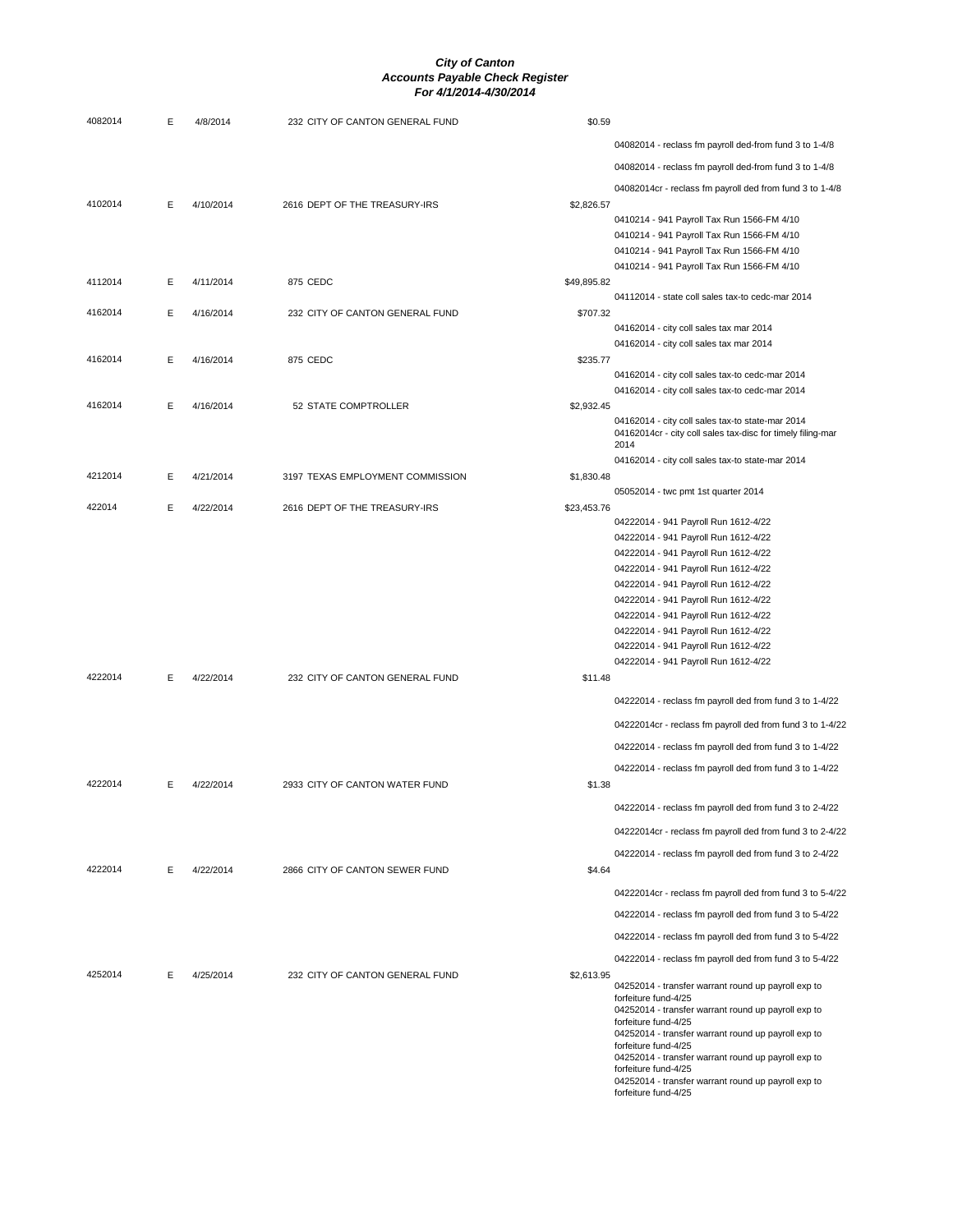| 4082014 | E | 4/8/2014  | 232 CITY OF CANTON GENERAL FUND  | \$0.59                                                                       |  |
|---------|---|-----------|----------------------------------|------------------------------------------------------------------------------|--|
|         |   |           |                                  | 04082014 - reclass fm payroll ded-from fund 3 to 1-4/8                       |  |
|         |   |           |                                  | 04082014 - reclass fm payroll ded-from fund 3 to 1-4/8                       |  |
|         |   |           |                                  | 04082014cr - reclass fm payroll ded from fund 3 to 1-4/8                     |  |
| 4102014 | Е | 4/10/2014 | 2616 DEPT OF THE TREASURY-IRS    | \$2,826.57                                                                   |  |
|         |   |           |                                  | 0410214 - 941 Payroll Tax Run 1566-FM 4/10                                   |  |
|         |   |           |                                  | 0410214 - 941 Payroll Tax Run 1566-FM 4/10                                   |  |
|         |   |           |                                  | 0410214 - 941 Payroll Tax Run 1566-FM 4/10                                   |  |
| 4112014 | E | 4/11/2014 | 875 CEDC                         | 0410214 - 941 Payroll Tax Run 1566-FM 4/10<br>\$49,895.82                    |  |
|         |   |           |                                  | 04112014 - state coll sales tax-to cedc-mar 2014                             |  |
| 4162014 | Е | 4/16/2014 | 232 CITY OF CANTON GENERAL FUND  | \$707.32                                                                     |  |
|         |   |           |                                  | 04162014 - city coll sales tax mar 2014                                      |  |
|         |   |           |                                  | 04162014 - city coll sales tax mar 2014                                      |  |
| 4162014 | Е | 4/16/2014 | 875 CEDC                         | \$235.77<br>04162014 - city coll sales tax-to cedc-mar 2014                  |  |
|         |   |           |                                  | 04162014 - city coll sales tax-to cedc-mar 2014                              |  |
| 4162014 | Е | 4/16/2014 | 52 STATE COMPTROLLER             | \$2,932.45                                                                   |  |
|         |   |           |                                  | 04162014 - city coll sales tax-to state-mar 2014                             |  |
|         |   |           |                                  | 04162014cr - city coll sales tax-disc for timely filing-mar<br>2014          |  |
|         |   |           |                                  | 04162014 - city coll sales tax-to state-mar 2014                             |  |
| 4212014 | Е | 4/21/2014 | 3197 TEXAS EMPLOYMENT COMMISSION | \$1,830.48                                                                   |  |
|         |   |           |                                  | 05052014 - twc pmt 1st quarter 2014                                          |  |
| 422014  | Е | 4/22/2014 | 2616 DEPT OF THE TREASURY-IRS    | \$23,453.76                                                                  |  |
|         |   |           |                                  | 04222014 - 941 Payroll Run 1612-4/22                                         |  |
|         |   |           |                                  | 04222014 - 941 Payroll Run 1612-4/22<br>04222014 - 941 Payroll Run 1612-4/22 |  |
|         |   |           |                                  | 04222014 - 941 Payroll Run 1612-4/22                                         |  |
|         |   |           |                                  | 04222014 - 941 Payroll Run 1612-4/22                                         |  |
|         |   |           |                                  | 04222014 - 941 Payroll Run 1612-4/22                                         |  |
|         |   |           |                                  | 04222014 - 941 Payroll Run 1612-4/22                                         |  |
|         |   |           |                                  | 04222014 - 941 Payroll Run 1612-4/22                                         |  |
|         |   |           |                                  | 04222014 - 941 Payroll Run 1612-4/22<br>04222014 - 941 Payroll Run 1612-4/22 |  |
| 4222014 | E | 4/22/2014 | 232 CITY OF CANTON GENERAL FUND  | \$11.48                                                                      |  |
|         |   |           |                                  |                                                                              |  |
|         |   |           |                                  | 04222014 - reclass fm payroll ded from fund 3 to 1-4/22                      |  |
|         |   |           |                                  | 04222014cr - reclass fm payroll ded from fund 3 to 1-4/22                    |  |
|         |   |           |                                  | 04222014 - reclass fm payroll ded from fund 3 to 1-4/22                      |  |
|         |   |           |                                  | 04222014 - reclass fm payroll ded from fund 3 to 1-4/22                      |  |
| 4222014 | Е | 4/22/2014 | 2933 CITY OF CANTON WATER FUND   | \$1.38                                                                       |  |
|         |   |           |                                  | 04222014 - reclass fm payroll ded from fund 3 to 2-4/22                      |  |
|         |   |           |                                  | 04222014cr - reclass fm payroll ded from fund 3 to 2-4/22                    |  |
|         |   |           |                                  | 04222014 - reclass fm payroll ded from fund 3 to 2-4/22                      |  |
| 4222014 | E | 4/22/2014 | 2866 CITY OF CANTON SEWER FUND   | \$4.64                                                                       |  |
|         |   |           |                                  | 04222014cr - reclass fm payroll ded from fund 3 to 5-4/22                    |  |
|         |   |           |                                  | 04222014 - reclass fm payroll ded from fund 3 to 5-4/22                      |  |
|         |   |           |                                  | 04222014 - reclass fm payroll ded from fund 3 to 5-4/22                      |  |
|         |   |           |                                  | 04222014 - reclass fm payroll ded from fund 3 to 5-4/22                      |  |
| 4252014 | Е | 4/25/2014 | 232 CITY OF CANTON GENERAL FUND  | \$2,613.95                                                                   |  |
|         |   |           |                                  | 04252014 - transfer warrant round up payroll exp to<br>forfeiture fund-4/25  |  |
|         |   |           |                                  | 04252014 - transfer warrant round up payroll exp to                          |  |
|         |   |           |                                  | forfeiture fund-4/25<br>04252014 - transfer warrant round up payroll exp to  |  |
|         |   |           |                                  | forfeiture fund-4/25                                                         |  |
|         |   |           |                                  | 04252014 - transfer warrant round up payroll exp to<br>forfeiture fund-4/25  |  |
|         |   |           |                                  | 04252014 - transfer warrant round up payroll exp to                          |  |
|         |   |           |                                  | forfeiture fund-4/25                                                         |  |